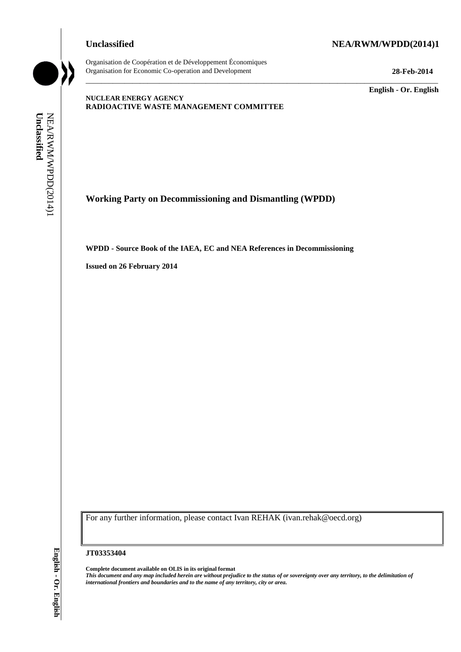## **Unclassified NEA/RWM/WPDD(2014)1**

Organisation de Coopération et de Développement Économiques Organisation for Economic Co-operation and Development **28-Feb-2014**

\_\_\_\_\_\_\_\_\_\_\_\_\_ **English - Or. English**

## **NUCLEAR ENERGY AGENCY RADIOACTIVE WASTE MANAGEMENT COMMITTEE**

**Working Party on Decommissioning and Dismantling (WPDD)**

\_\_\_\_\_\_\_\_\_\_\_\_\_\_\_\_\_\_\_\_\_\_\_\_\_\_\_\_\_\_\_\_\_\_\_\_\_\_\_\_\_\_\_\_\_\_\_\_\_\_\_\_\_\_\_\_\_\_\_\_\_\_\_\_\_\_\_\_\_\_\_\_\_\_\_\_\_\_\_\_\_\_\_\_\_\_\_\_\_\_\_

**WPDD - Source Book of the IAEA, EC and NEA References in Decommissioning**

**Issued on 26 February 2014**

For any further information, please contact Ivan REHAK (ivan.rehak@oecd.org)

#### **JT03353404**

**Complete document available on OLIS in its original format** *This document and any map included herein are without prejudice to the status of or sovereignty over any territory, to the delimitation of*  **iii** *Working Party on Decommissioning and Dismant!*<br>
WPDD - Source Book of the IAEA, EC and NEA References<br>
Issued on 26 February 2014<br> **EVALUATE 1999**<br> **IVEN ALL CONSTANT**<br> **IVEN ALL CONSTANT**<br> **IVEN ALL CONSTANT**<br> **IVE**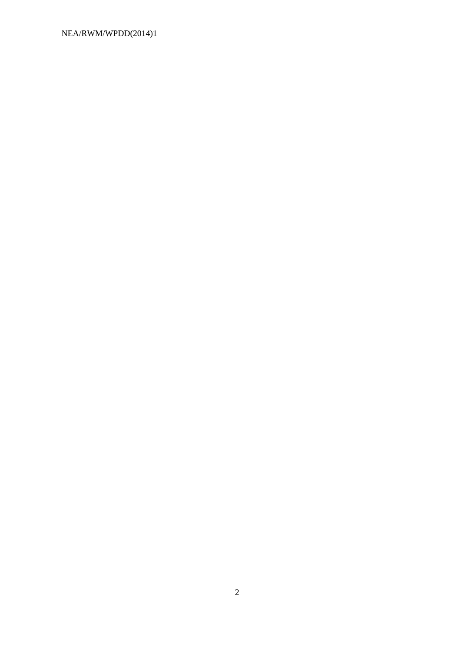NEA/RWM/WPDD(2014)1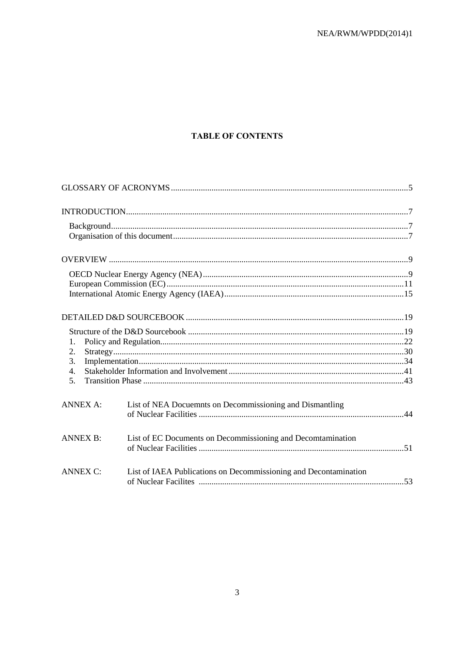# **TABLE OF CONTENTS**

| 1.              |                                                                  |  |
|-----------------|------------------------------------------------------------------|--|
| 2.<br>3.        |                                                                  |  |
| 4.<br>5.        |                                                                  |  |
| <b>ANNEX A:</b> | List of NEA Docuemnts on Decommissioning and Dismantling         |  |
| <b>ANNEX B:</b> | List of EC Documents on Decommissioning and Decomtamination      |  |
| <b>ANNEX C:</b> | List of IAEA Publications on Decommissioning and Decontamination |  |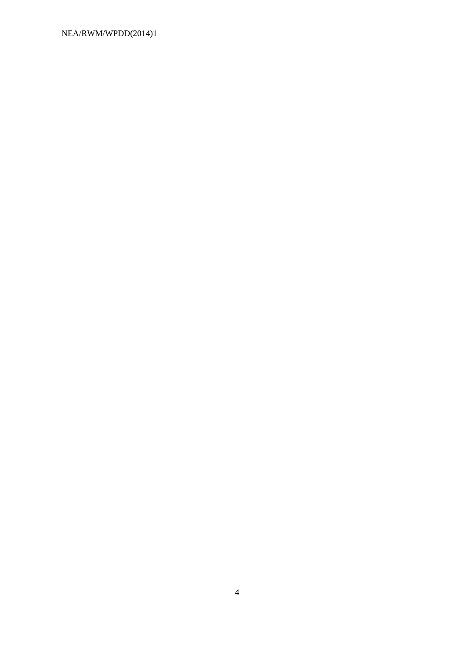NEA/RWM/WPDD(2014)1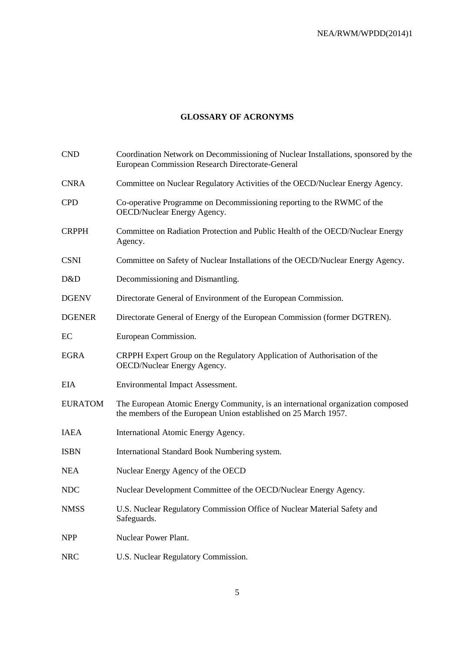# **GLOSSARY OF ACRONYMS**

<span id="page-4-0"></span>

| <b>CND</b>     | Coordination Network on Decommissioning of Nuclear Installations, sponsored by the<br>European Commission Research Directorate-General             |
|----------------|----------------------------------------------------------------------------------------------------------------------------------------------------|
| <b>CNRA</b>    | Committee on Nuclear Regulatory Activities of the OECD/Nuclear Energy Agency.                                                                      |
| <b>CPD</b>     | Co-operative Programme on Decommissioning reporting to the RWMC of the<br>OECD/Nuclear Energy Agency.                                              |
| <b>CRPPH</b>   | Committee on Radiation Protection and Public Health of the OECD/Nuclear Energy<br>Agency.                                                          |
| <b>CSNI</b>    | Committee on Safety of Nuclear Installations of the OECD/Nuclear Energy Agency.                                                                    |
| D&D            | Decommissioning and Dismantling.                                                                                                                   |
| <b>DGENV</b>   | Directorate General of Environment of the European Commission.                                                                                     |
| <b>DGENER</b>  | Directorate General of Energy of the European Commission (former DGTREN).                                                                          |
| EC             | European Commission.                                                                                                                               |
| <b>EGRA</b>    | CRPPH Expert Group on the Regulatory Application of Authorisation of the<br>OECD/Nuclear Energy Agency.                                            |
| <b>EIA</b>     | <b>Environmental Impact Assessment.</b>                                                                                                            |
| <b>EURATOM</b> | The European Atomic Energy Community, is an international organization composed<br>the members of the European Union established on 25 March 1957. |
| <b>IAEA</b>    | International Atomic Energy Agency.                                                                                                                |
| <b>ISBN</b>    | International Standard Book Numbering system.                                                                                                      |
| <b>NEA</b>     | Nuclear Energy Agency of the OECD                                                                                                                  |
| <b>NDC</b>     | Nuclear Development Committee of the OECD/Nuclear Energy Agency.                                                                                   |
| <b>NMSS</b>    | U.S. Nuclear Regulatory Commission Office of Nuclear Material Safety and<br>Safeguards.                                                            |
| <b>NPP</b>     | Nuclear Power Plant.                                                                                                                               |
| <b>NRC</b>     | U.S. Nuclear Regulatory Commission.                                                                                                                |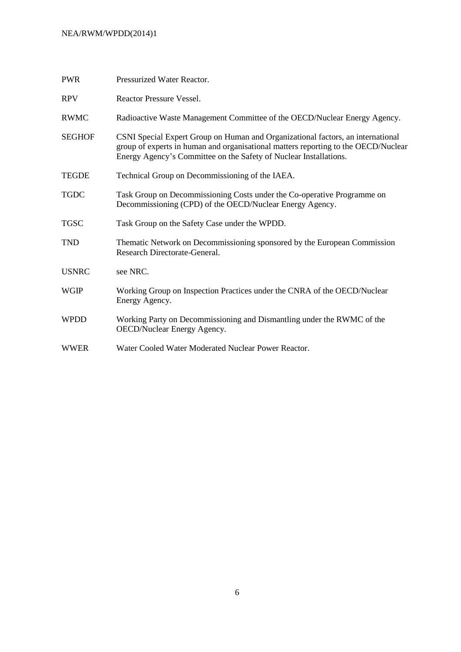## NEA/RWM/WPDD(2014)1

| <b>PWR</b>    | Pressurized Water Reactor.                                                                                                                                                                                                                 |
|---------------|--------------------------------------------------------------------------------------------------------------------------------------------------------------------------------------------------------------------------------------------|
| <b>RPV</b>    | <b>Reactor Pressure Vessel.</b>                                                                                                                                                                                                            |
| <b>RWMC</b>   | Radioactive Waste Management Committee of the OECD/Nuclear Energy Agency.                                                                                                                                                                  |
| <b>SEGHOF</b> | CSNI Special Expert Group on Human and Organizational factors, an international<br>group of experts in human and organisational matters reporting to the OECD/Nuclear<br>Energy Agency's Committee on the Safety of Nuclear Installations. |
| <b>TEGDE</b>  | Technical Group on Decommissioning of the IAEA.                                                                                                                                                                                            |
| <b>TGDC</b>   | Task Group on Decommissioning Costs under the Co-operative Programme on<br>Decommissioning (CPD) of the OECD/Nuclear Energy Agency.                                                                                                        |
| <b>TGSC</b>   | Task Group on the Safety Case under the WPDD.                                                                                                                                                                                              |
| <b>TND</b>    | Thematic Network on Decommissioning sponsored by the European Commission<br>Research Directorate-General.                                                                                                                                  |
| <b>USNRC</b>  | see NRC.                                                                                                                                                                                                                                   |
| WGIP          | Working Group on Inspection Practices under the CNRA of the OECD/Nuclear<br>Energy Agency.                                                                                                                                                 |
| <b>WPDD</b>   | Working Party on Decommissioning and Dismantling under the RWMC of the<br>OECD/Nuclear Energy Agency.                                                                                                                                      |
| <b>WWER</b>   | Water Cooled Water Moderated Nuclear Power Reactor.                                                                                                                                                                                        |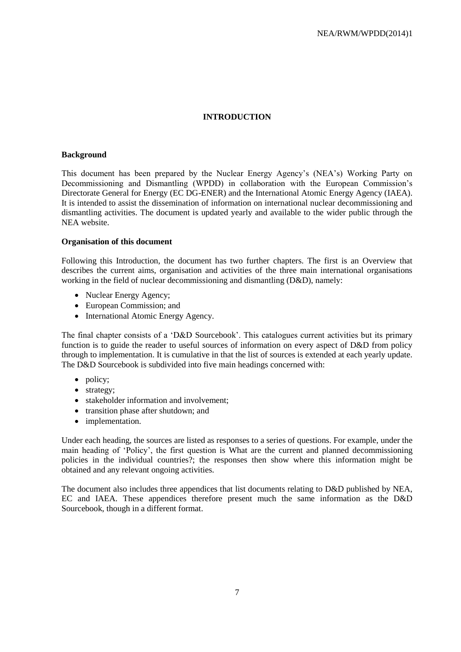## **INTRODUCTION**

#### <span id="page-6-1"></span><span id="page-6-0"></span>**Background**

This document has been prepared by the Nuclear Energy Agency's (NEA's) Working Party on Decommissioning and Dismantling (WPDD) in collaboration with the European Commission's Directorate General for Energy (EC DG-ENER) and the International Atomic Energy Agency (IAEA). It is intended to assist the dissemination of information on international nuclear decommissioning and dismantling activities. The document is updated yearly and available to the wider public through the NEA website.

#### <span id="page-6-2"></span>**Organisation of this document**

Following this Introduction, the document has two further chapters. The first is an Overview that describes the current aims, organisation and activities of the three main international organisations working in the field of nuclear decommissioning and dismantling (D&D), namely:

- Nuclear Energy Agency:
- European Commission; and
- International Atomic Energy Agency.

The final chapter consists of a 'D&D Sourcebook'. This catalogues current activities but its primary function is to guide the reader to useful sources of information on every aspect of D&D from policy through to implementation. It is cumulative in that the list of sources is extended at each yearly update. The D&D Sourcebook is subdivided into five main headings concerned with:

- policy;
- strategy;
- stakeholder information and involvement;
- transition phase after shutdown; and
- implementation.

Under each heading, the sources are listed as responses to a series of questions. For example, under the main heading of 'Policy', the first question is What are the current and planned decommissioning policies in the individual countries?; the responses then show where this information might be obtained and any relevant ongoing activities.

The document also includes three appendices that list documents relating to D&D published by NEA, EC and IAEA. These appendices therefore present much the same information as the D&D Sourcebook, though in a different format.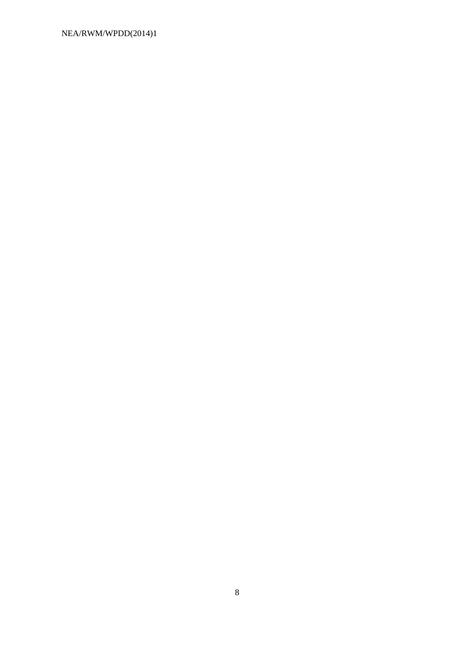NEA/RWM/WPDD(2014)1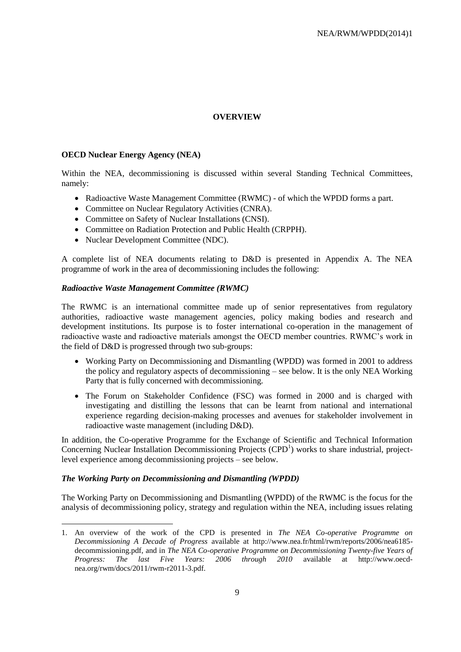#### **OVERVIEW**

#### <span id="page-8-1"></span><span id="page-8-0"></span>**OECD Nuclear Energy Agency (NEA)**

Within the NEA, decommissioning is discussed within several Standing Technical Committees, namely:

- Radioactive Waste Management Committee (RWMC) of which the WPDD forms a part.
- Committee on Nuclear Regulatory Activities (CNRA).
- Committee on Safety of Nuclear Installations (CNSI).
- Committee on Radiation Protection and Public Health (CRPPH).
- Nuclear Development Committee (NDC).

A complete list of NEA documents relating to D&D is presented in Appendix A. The NEA programme of work in the area of decommissioning includes the following:

#### *Radioactive Waste Management Committee (RWMC)*

The RWMC is an international committee made up of senior representatives from regulatory authorities, radioactive waste management agencies, policy making bodies and research and development institutions. Its purpose is to foster international co-operation in the management of radioactive waste and radioactive materials amongst the OECD member countries. RWMC's work in the field of D&D is progressed through two sub-groups:

- Working Party on Decommissioning and Dismantling (WPDD) was formed in 2001 to address the policy and regulatory aspects of decommissioning – see below. It is the only NEA Working Party that is fully concerned with decommissioning.
- The Forum on Stakeholder Confidence (FSC) was formed in 2000 and is charged with investigating and distilling the lessons that can be learnt from national and international experience regarding decision-making processes and avenues for stakeholder involvement in radioactive waste management (including D&D).

In addition, the Co-operative Programme for the Exchange of Scientific and Technical Information Concerning Nuclear Installation Decommissioning Projects  $(CPD<sup>1</sup>)$  works to share industrial, projectlevel experience among decommissioning projects – see below.

#### *The Working Party on Decommissioning and Dismantling (WPDD)*

-

The Working Party on Decommissioning and Dismantling (WPDD) of the RWMC is the focus for the analysis of decommissioning policy, strategy and regulation within the NEA, including issues relating

<sup>1.</sup> An overview of the work of the CPD is presented in *The NEA Co-operative Programme on Decommissioning A Decade of Progress* available at [http://www.nea.fr/html/rwm/reports/2006/nea6185](http://www.nea.fr/html/rwm/reports/2006/nea6185-decommissioning.pdf) [decommissioning.pdf,](http://www.nea.fr/html/rwm/reports/2006/nea6185-decommissioning.pdf) and in *The NEA Co-operative Programme on Decommissioning Twenty-five Years of Progress: The last Five Years: 2006 through 2010* available at http://www.oecdnea.org/rwm/docs/2011/rwm-r2011-3.pdf.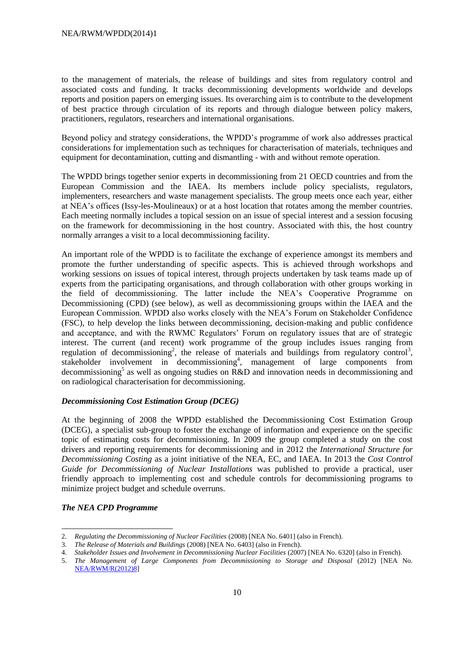to the management of materials, the release of buildings and sites from regulatory control and associated costs and funding. It tracks decommissioning developments worldwide and develops reports and position papers on emerging issues. Its overarching aim is to contribute to the development of best practice through circulation of its reports and through dialogue between policy makers, practitioners, regulators, researchers and international organisations.

Beyond policy and strategy considerations, the WPDD's programme of work also addresses practical considerations for implementation such as techniques for characterisation of materials, techniques and equipment for decontamination, cutting and dismantling - with and without remote operation.

The WPDD brings together senior experts in decommissioning from 21 OECD countries and from the European Commission and the IAEA. Its members include policy specialists, regulators, implementers, researchers and waste management specialists. The group meets once each year, either at NEA's offices (Issy-les-Moulineaux) or at a host location that rotates among the member countries. Each meeting normally includes a topical session on an issue of special interest and a session focusing on the framework for decommissioning in the host country. Associated with this, the host country normally arranges a visit to a local decommissioning facility.

An important role of the WPDD is to facilitate the exchange of experience amongst its members and promote the further understanding of specific aspects. This is achieved through workshops and working sessions on issues of topical interest, through projects undertaken by task teams made up of experts from the participating organisations, and through collaboration with other groups working in the field of decommissioning. The latter include the NEA's Cooperative Programme on Decommissioning (CPD) (see below), as well as decommissioning groups within the IAEA and the European Commission. WPDD also works closely with the NEA's Forum on Stakeholder Confidence (FSC), to help develop the links between decommissioning, decision-making and public confidence and acceptance, and with the RWMC Regulators' Forum on regulatory issues that are of strategic interest. The current (and recent) work programme of the group includes issues ranging from regulation of decommissioning<sup>2</sup>, the release of materials and buildings from regulatory control<sup>3</sup>, stakeholder involvement in decommissioning<sup>4</sup>, management of large components from decommissioning<sup>5</sup> as well as ongoing studies on R&D and innovation needs in decommissioning and on radiological characterisation for decommissioning.

# *Decommissioning Cost Estimation Group (DCEG)*

At the beginning of 2008 the WPDD established the Decommissioning Cost Estimation Group (DCEG), a specialist sub-group to foster the exchange of information and experience on the specific topic of estimating costs for decommissioning. In 2009 the group completed a study on the cost drivers and reporting requirements for decommissioning and in 2012 the *International Structure for Decommissioning Costing* as a joint initiative of the NEA, EC, and IAEA. In 2013 the *Cost Control Guide for Decommissioning of Nuclear Installations* was published to provide a practical, user friendly approach to implementing cost and schedule controls for decommissioning programs to minimize project budget and schedule overruns.

#### *The NEA CPD Programme*

<sup>1</sup> 2. *Regulating the Decommissioning of Nuclear Facilities* (2008) [NEA No. 6401] (also in French).

<sup>3.</sup> *The Release of Materials and Buildings* (2008) [NEA No. 6403] (also in French).

<sup>4.</sup> *Stakeholder Issues and Involvement in Decommissioning Nuclear Facilities* (2007) [NEA No. 6320] (also in French).

<sup>5.</sup> The Management of Large Components from Decommissioning to Storage and Disposal (2012) [NEA No. [NEA/RWM/R\(2012\)8\]](http://www2.oecd.org/oecdinfo/info.aspx?app=OLIScoteEN&Ref=NEA/RWM/R(2012)8)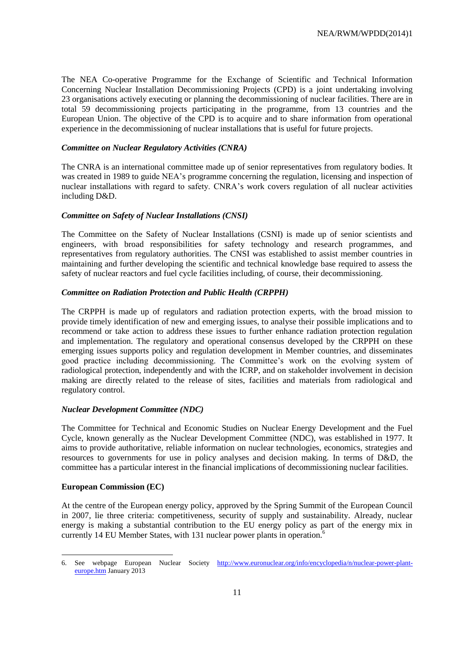The NEA Co-operative Programme for the Exchange of Scientific and Technical Information Concerning Nuclear Installation Decommissioning Projects (CPD) is a joint undertaking involving 23 organisations actively executing or planning the decommissioning of nuclear facilities. There are in total 59 decommissioning projects participating in the programme, from 13 countries and the European Union. The objective of the CPD is to acquire and to share information from operational experience in the decommissioning of nuclear installations that is useful for future projects.

#### *Committee on Nuclear Regulatory Activities (CNRA)*

The CNRA is an international committee made up of senior representatives from regulatory bodies. It was created in 1989 to guide NEA's programme concerning the regulation, licensing and inspection of nuclear installations with regard to safety. CNRA's work covers regulation of all nuclear activities including D&D.

#### *Committee on Safety of Nuclear Installations (CNSI)*

The Committee on the Safety of Nuclear Installations (CSNI) is made up of senior scientists and engineers, with broad responsibilities for safety technology and research programmes, and representatives from regulatory authorities. The CNSI was established to assist member countries in maintaining and further developing the scientific and technical knowledge base required to assess the safety of nuclear reactors and fuel cycle facilities including, of course, their decommissioning.

## *Committee on Radiation Protection and Public Health (CRPPH)*

The CRPPH is made up of regulators and radiation protection experts, with the broad mission to provide timely identification of new and emerging issues, to analyse their possible implications and to recommend or take action to address these issues to further enhance radiation protection regulation and implementation. The regulatory and operational consensus developed by the CRPPH on these emerging issues supports policy and regulation development in Member countries, and disseminates good practice including decommissioning. The Committee's work on the evolving system of radiological protection, independently and with the ICRP, and on stakeholder involvement in decision making are directly related to the release of sites, facilities and materials from radiological and regulatory control.

#### *Nuclear Development Committee (NDC)*

The Committee for Technical and Economic Studies on Nuclear Energy Development and the Fuel Cycle, known generally as the Nuclear Development Committee (NDC), was established in 1977. It aims to provide authoritative, reliable information on nuclear technologies, economics, strategies and resources to governments for use in policy analyses and decision making. In terms of D&D, the committee has a particular interest in the financial implications of decommissioning nuclear facilities.

#### <span id="page-10-0"></span>**European Commission (EC)**

-

At the centre of the European energy policy, approved by the Spring Summit of the European Council in 2007, lie three criteria: competitiveness, security of supply and sustainability. Already, nuclear energy is making a substantial contribution to the EU energy policy as part of the energy mix in currently 14 EU Member States, with 131 nuclear power plants in operation.<sup>6</sup>

<sup>6.</sup> See webpage European Nuclear Society [http://www.euronuclear.org/info/encyclopedia/n/nuclear-power-plant](http://www.euronuclear.org/info/encyclopedia/n/nuclear-power-plant-europe.htm)[europe.htm](http://www.euronuclear.org/info/encyclopedia/n/nuclear-power-plant-europe.htm) January 2013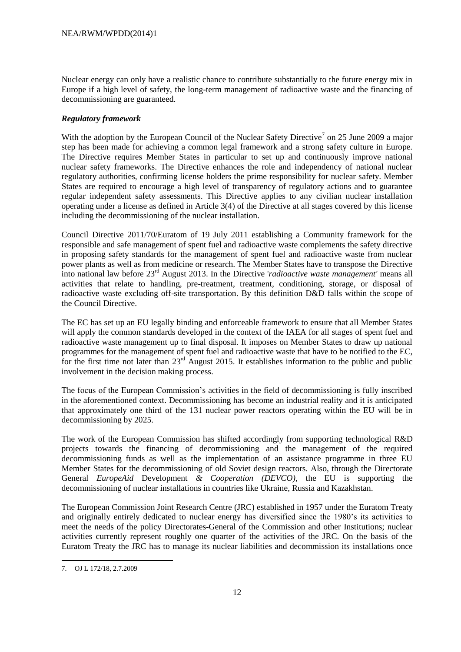Nuclear energy can only have a realistic chance to contribute substantially to the future energy mix in Europe if a high level of safety, the long-term management of radioactive waste and the financing of decommissioning are guaranteed.

# *Regulatory framework*

With the adoption by the European Council of the Nuclear Safety Directive<sup>7</sup> on 25 June 2009 a major step has been made for achieving a common legal framework and a strong safety culture in Europe. The Directive requires Member States in particular to set up and continuously improve national nuclear safety frameworks. The Directive enhances the role and independency of national nuclear regulatory authorities, confirming license holders the prime responsibility for nuclear safety. Member States are required to encourage a high level of transparency of regulatory actions and to guarantee regular independent safety assessments. This Directive applies to any civilian nuclear installation operating under a license as defined in Article 3(4) of the Directive at all stages covered by this license including the decommissioning of the nuclear installation.

Council Directive 2011/70/Euratom of 19 July 2011 establishing a Community framework for the responsible and safe management of spent fuel and radioactive waste complements the safety directive in proposing safety standards for the management of spent fuel and radioactive waste from nuclear power plants as well as from medicine or research. The Member States have to transpose the Directive into national law before 23rd August 2013. In the Directive '*radioactive waste management'* means all activities that relate to handling, pre-treatment, treatment, conditioning, storage, or disposal of radioactive waste excluding off-site transportation. By this definition D&D falls within the scope of the Council Directive.

The EC has set up an EU legally binding and enforceable framework to ensure that all Member States will apply the common standards developed in the context of the IAEA for all stages of spent fuel and radioactive waste management up to final disposal. It imposes on Member States to draw up national programmes for the management of spent fuel and radioactive waste that have to be notified to the EC, for the first time not later than  $23<sup>rd</sup>$  August 2015. It establishes information to the public and public involvement in the decision making process.

The focus of the European Commission's activities in the field of decommissioning is fully inscribed in the aforementioned context. Decommissioning has become an industrial reality and it is anticipated that approximately one third of the 131 nuclear power reactors operating within the EU will be in decommissioning by 2025.

The work of the European Commission has shifted accordingly from supporting technological R&D projects towards the financing of decommissioning and the management of the required decommissioning funds as well as the implementation of an assistance programme in three EU Member States for the decommissioning of old Soviet design reactors. Also, through the Directorate General *EuropeAid* Development *& Cooperation (DEVCO)*, the EU is supporting the decommissioning of nuclear installations in countries like Ukraine, Russia and Kazakhstan.

The European Commission Joint Research Centre (JRC) established in 1957 under the Euratom Treaty and originally entirely dedicated to nuclear energy has diversified since the 1980's its activities to meet the needs of the policy Directorates-General of the Commission and other Institutions; nuclear activities currently represent roughly one quarter of the activities of the JRC. On the basis of the Euratom Treaty the JRC has to manage its nuclear liabilities and decommission its installations once

-

<sup>7.</sup> OJ L 172/18, 2.7.2009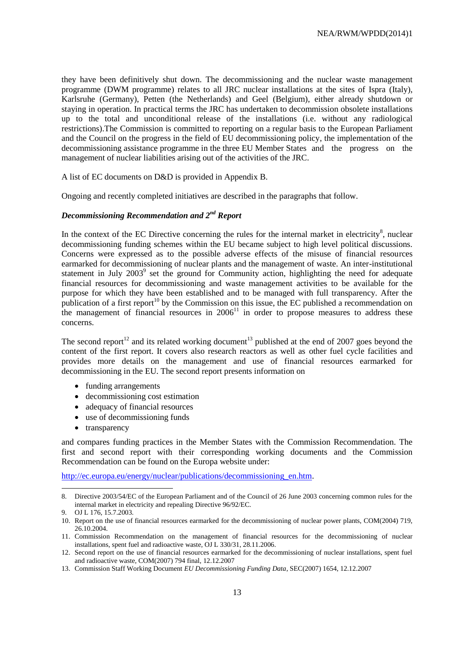they have been definitively shut down. The decommissioning and the nuclear waste management programme (DWM programme) relates to all JRC nuclear installations at the sites of Ispra (Italy), Karlsruhe (Germany), Petten (the Netherlands) and Geel (Belgium), either already shutdown or staying in operation. In practical terms the JRC has undertaken to decommission obsolete installations up to the total and unconditional release of the installations (i.e. without any radiological restrictions).The Commission is committed to reporting on a regular basis to the European Parliament and the Council on the progress in the field of EU decommissioning policy, the implementation of the decommissioning assistance programme in the three EU Member States and the progress on the management of nuclear liabilities arising out of the activities of the JRC.

A list of EC documents on D&D is provided in Appendix B.

Ongoing and recently completed initiatives are described in the paragraphs that follow.

## *Decommissioning Recommendation and 2nd Report*

In the context of the EC Directive concerning the rules for the internal market in electricity<sup>8</sup>, nuclear decommissioning funding schemes within the EU became subject to high level political discussions. Concerns were expressed as to the possible adverse effects of the misuse of financial resources earmarked for decommissioning of nuclear plants and the management of waste. An inter-institutional statement in July 2003<sup>9</sup> set the ground for Community action, highlighting the need for adequate financial resources for decommissioning and waste management activities to be available for the purpose for which they have been established and to be managed with full transparency. After the publication of a first report<sup>10</sup> by the Commission on this issue, the EC published a recommendation on the management of financial resources in  $2006<sup>11</sup>$  in order to propose measures to address these concerns.

The second report<sup>12</sup> and its related working document<sup>13</sup> published at the end of 2007 goes beyond the content of the first report. It covers also research reactors as well as other fuel cycle facilities and provides more details on the management and use of financial resources earmarked for decommissioning in the EU. The second report presents information on

- funding arrangements
- decommissioning cost estimation
- adequacy of financial resources
- use of decommissioning funds
- transparency

and compares funding practices in the Member States with the Commission Recommendation. The first and second report with their corresponding working documents and the Commission Recommendation can be found on the Europa website under:

[http://ec.europa.eu/energy/nuclear/publications/decommissioning\\_en.htm.](http://ec.europa.eu/energy/nuclear/publications/decommissioning_en.htm)

1

<sup>8.</sup> Directive 2003/54/EC of the European Parliament and of the Council of 26 June 2003 concerning common rules for the internal market in electricity and repealing Directive 96/92/EC.

<sup>9.</sup> OJ L 176, 15.7.2003.

<sup>10.</sup> Report on the use of financial resources earmarked for the decommissioning of nuclear power plants, COM(2004) 719, 26.10.2004.

<sup>11.</sup> Commission Recommendation on the management of financial resources for the decommissioning of nuclear installations, spent fuel and radioactive waste, OJ L 330/31, 28.11.2006.

<sup>12.</sup> Second report on the use of financial resources earmarked for the decommissioning of nuclear installations, spent fuel and radioactive waste, COM(2007) 794 final, 12.12.2007

<sup>13.</sup> Commission Staff Working Document *EU Decommissioning Funding Data*, SEC(2007) 1654, 12.12.2007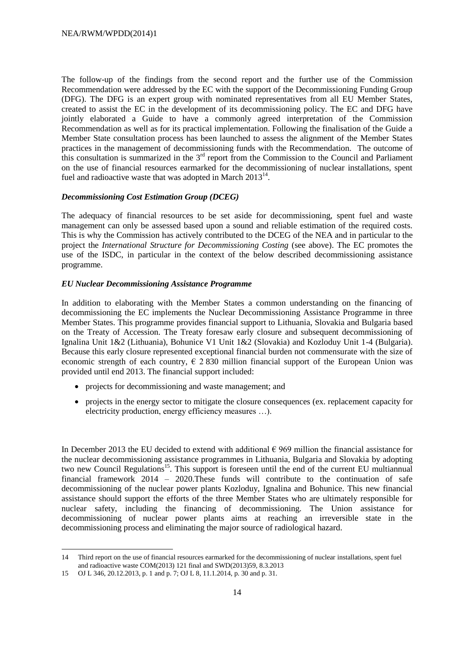The follow-up of the findings from the second report and the further use of the Commission Recommendation were addressed by the EC with the support of the Decommissioning Funding Group (DFG). The DFG is an expert group with nominated representatives from all EU Member States, created to assist the EC in the development of its decommissioning policy. The EC and DFG have jointly elaborated a Guide to have a commonly agreed interpretation of the Commission Recommendation as well as for its practical implementation. Following the finalisation of the Guide a Member State consultation process has been launched to assess the alignment of the Member States practices in the management of decommissioning funds with the Recommendation. The outcome of this consultation is summarized in the  $3<sup>rd</sup>$  report from the Commission to the Council and Parliament on the use of financial resources earmarked for the decommissioning of nuclear installations, spent fuel and radioactive waste that was adopted in March  $2013^{14}$ .

#### *Decommissioning Cost Estimation Group (DCEG)*

The adequacy of financial resources to be set aside for decommissioning, spent fuel and waste management can only be assessed based upon a sound and reliable estimation of the required costs. This is why the Commission has actively contributed to the DCEG of the NEA and in particular to the project the *International Structure for Decommissioning Costing* (see above). The EC promotes the use of the ISDC, in particular in the context of the below described decommissioning assistance programme.

## *EU Nuclear Decommissioning Assistance Programme*

In addition to elaborating with the Member States a common understanding on the financing of decommissioning the EC implements the Nuclear Decommissioning Assistance Programme in three Member States. This programme provides financial support to Lithuania, Slovakia and Bulgaria based on the Treaty of Accession. The Treaty foresaw early closure and subsequent decommissioning of Ignalina Unit 1&2 (Lithuania), Bohunice V1 Unit 1&2 (Slovakia) and Kozloduy Unit 1-4 (Bulgaria). Because this early closure represented exceptional financial burden not commensurate with the size of economic strength of each country,  $\epsilon$  2 830 million financial support of the European Union was provided until end 2013. The financial support included:

- projects for decommissioning and waste management; and
- projects in the energy sector to mitigate the closure consequences (ex. replacement capacity for electricity production, energy efficiency measures …).

In December 2013 the EU decided to extend with additional  $\epsilon$  969 million the financial assistance for the nuclear decommissioning assistance programmes in Lithuania, Bulgaria and Slovakia by adopting two new Council Regulations<sup>15</sup>. This support is foreseen until the end of the current EU multiannual financial framework 2014 – 2020.These funds will contribute to the continuation of safe decommissioning of the nuclear power plants Kozloduy, Ignalina and Bohunice. This new financial assistance should support the efforts of the three Member States who are ultimately responsible for nuclear safety, including the financing of decommissioning. The Union assistance for decommissioning of nuclear power plants aims at reaching an irreversible state in the decommissioning process and eliminating the major source of radiological hazard.

1

<sup>14</sup> Third report on the use of financial resources earmarked for the decommissioning of nuclear installations, spent fuel and radioactive waste COM(2013) 121 final and SWD(2013)59, 8.3.2013

<sup>15</sup> OJ L 346, 20.12.2013, p. 1 and p. 7; OJ L 8, 11.1.2014, p. 30 and p. 31.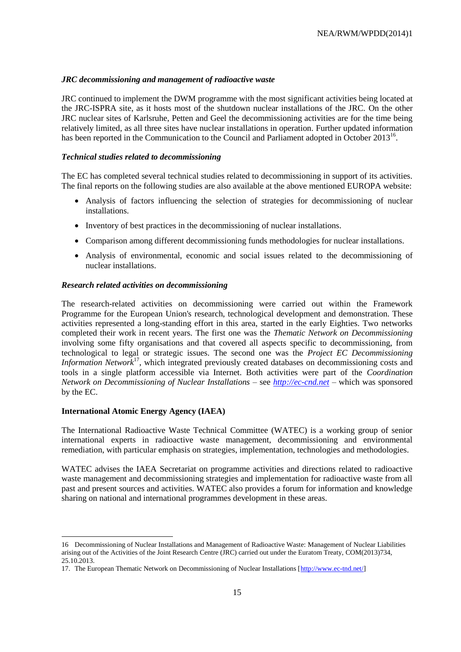#### *JRC decommissioning and management of radioactive waste*

JRC continued to implement the DWM programme with the most significant activities being located at the JRC-ISPRA site, as it hosts most of the shutdown nuclear installations of the JRC. On the other JRC nuclear sites of Karlsruhe, Petten and Geel the decommissioning activities are for the time being relatively limited, as all three sites have nuclear installations in operation. Further updated information has been reported in the Communication to the Council and Parliament adopted in October 2013<sup>16</sup>.

#### *Technical studies related to decommissioning*

The EC has completed several technical studies related to decommissioning in support of its activities. The final reports on the following studies are also available at the above mentioned EUROPA website:

- Analysis of factors influencing the selection of strategies for decommissioning of nuclear installations.
- Inventory of best practices in the decommissioning of nuclear installations.
- Comparison among different decommissioning funds methodologies for nuclear installations.
- Analysis of environmental, economic and social issues related to the decommissioning of nuclear installations.

#### *Research related activities on decommissioning*

The research-related activities on decommissioning were carried out within the Framework Programme for the European Union's research, technological development and demonstration. These activities represented a long-standing effort in this area, started in the early Eighties. Two networks completed their work in recent years. The first one was the *Thematic Network on Decommissioning* involving some fifty organisations and that covered all aspects specific to decommissioning, from technological to legal or strategic issues. The second one was the *Project EC Decommissioning Information Network*<sup>17</sup>, which integrated previously created databases on decommissioning costs and tools in a single platform accessible via Internet. Both activities were part of the *Coordination Network on Decommissioning of Nuclear Installations* – see *[http://ec-cnd.net](http://ec-cnd.net/)* – which was sponsored by the EC.

#### <span id="page-14-0"></span>**International Atomic Energy Agency (IAEA)**

-

The International Radioactive Waste Technical Committee (WATEC) is a working group of senior international experts in radioactive waste management, decommissioning and environmental remediation, with particular emphasis on strategies, implementation, technologies and methodologies.

WATEC advises the IAEA Secretariat on programme activities and directions related to radioactive waste management and decommissioning strategies and implementation for radioactive waste from all past and present sources and activities. WATEC also provides a forum for information and knowledge sharing on national and international programmes development in these areas.

<sup>16</sup> Decommissioning of Nuclear Installations and Management of Radioactive Waste: Management of Nuclear Liabilities arising out of the Activities of the Joint Research Centre (JRC) carried out under the Euratom Treaty, COM(2013)734, 25.10.2013.

<sup>17.</sup> The European Thematic Network on Decommissioning of Nuclear Installations [\[http://www.ec-tnd.net/\]](http://www.ec-tnd.net/)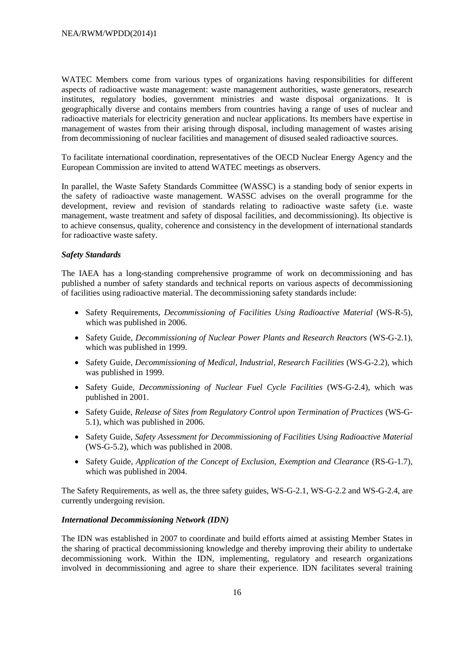WATEC Members come from various types of organizations having responsibilities for different aspects of radioactive waste management: waste management authorities, waste generators, research institutes, regulatory bodies, government ministries and waste disposal organizations. It is geographically diverse and contains members from countries having a range of uses of nuclear and radioactive materials for electricity generation and nuclear applications. Its members have expertise in management of wastes from their arising through disposal, including management of wastes arising from decommissioning of nuclear facilities and management of disused sealed radioactive sources.

To facilitate international coordination, representatives of the OECD Nuclear Energy Agency and the European Commission are invited to attend WATEC meetings as observers.

In parallel, the Waste Safety Standards Committee (WASSC) is a standing body of senior experts in the safety of radioactive waste management. WASSC advises on the overall programme for the development, review and revision of standards relating to radioactive waste safety (i.e. waste management, waste treatment and safety of disposal facilities, and decommissioning). Its objective is to achieve consensus, quality, coherence and consistency in the development of international standards for radioactive waste safety.

#### *Safety Standards*

The IAEA has a long-standing comprehensive programme of work on decommissioning and has published a number of safety standards and technical reports on various aspects of decommissioning of facilities using radioactive material. The decommissioning safety standards include:

- Safety Requirements, *Decommissioning of Facilities Using Radioactive Material* (WS-R-5), which was published in 2006.
- Safety Guide, *Decommissioning of Nuclear Power Plants and Research Reactors* (WS-G-2.1), which was published in 1999.
- Safety Guide, *Decommissioning of Medical, Industrial, Research Facilities* (WS-G-2.2), which was published in 1999.
- Safety Guide, *Decommissioning of Nuclear Fuel Cycle Facilities* (WS-G-2.4), which was published in 2001.
- Safety Guide, *Release of Sites from Regulatory Control upon Termination of Practices* (WS-G-5.1), which was published in 2006.
- Safety Guide, *Safety Assessment for Decommissioning of Facilities Using Radioactive Material*  (WS-G-5.2), which was published in 2008.
- Safety Guide, *Application of the Concept of Exclusion, Exemption and Clearance* (RS-G-1.7), which was published in 2004.

The Safety Requirements, as well as, the three safety guides, WS-G-2.1, WS-G-2.2 and WS-G-2.4, are currently undergoing revision.

#### *International Decommissioning Network (IDN)*

The IDN was established in 2007 to coordinate and build efforts aimed at assisting Member States in the sharing of practical decommissioning knowledge and thereby improving their ability to undertake decommissioning work. Within the IDN, implementing, regulatory and research organizations involved in decommissioning and agree to share their experience. IDN facilitates several training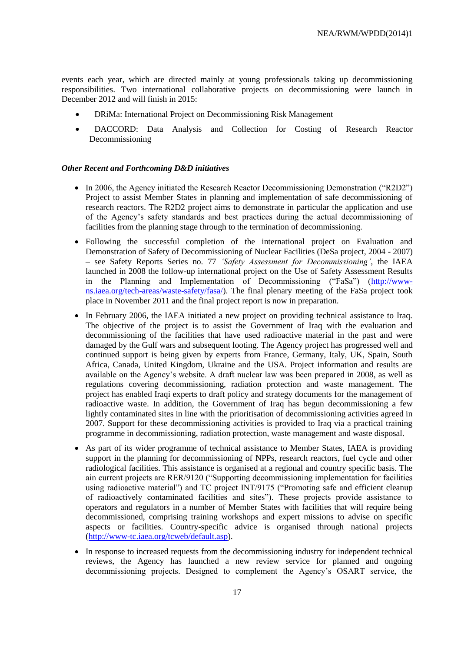events each year, which are directed mainly at young professionals taking up decommissioning responsibilities. Two international collaborative projects on decommissioning were launch in December 2012 and will finish in 2015:

- DRiMa: International Project on Decommissioning Risk Management
- DACCORD: Data Analysis and Collection for Costing of Research Reactor Decommissioning

#### *Other Recent and Forthcoming D&D initiatives*

- In 2006, the Agency initiated the Research Reactor Decommissioning Demonstration ("R2D2") Project to assist Member States in planning and implementation of safe decommissioning of research reactors. The R2D2 project aims to demonstrate in particular the application and use of the Agency's safety standards and best practices during the actual decommissioning of facilities from the planning stage through to the termination of decommissioning.
- Following the successful completion of the international project on Evaluation and Demonstration of Safety of Decommissioning of Nuclear Facilities (DeSa project, 2004 - 2007) – see Safety Reports Series no. 77 *'Safety Assessment for Decommissioning'*, the IAEA launched in 2008 the follow-up international project on the Use of Safety Assessment Results in the Planning and Implementation of Decommissioning ("FaSa") [\(http://www](http://www-ns.iaea.org/tech-areas/waste-safety/fasa/)[ns.iaea.org/tech-areas/waste-safety/fasa/\)](http://www-ns.iaea.org/tech-areas/waste-safety/fasa/). The final plenary meeting of the FaSa project took place in November 2011 and the final project report is now in preparation.
- In February 2006, the IAEA initiated a new project on providing technical assistance to Iraq. The objective of the project is to assist the Government of Iraq with the evaluation and decommissioning of the facilities that have used radioactive material in the past and were damaged by the Gulf wars and subsequent looting. The Agency project has progressed well and continued support is being given by experts from France, Germany, Italy, UK, Spain, South Africa, Canada, United Kingdom, Ukraine and the USA. Project information and results are available on the Agency's website. A draft nuclear law was been prepared in 2008, as well as regulations covering decommissioning, radiation protection and waste management. The project has enabled Iraqi experts to draft policy and strategy documents for the management of radioactive waste. In addition, the Government of Iraq has begun decommissioning a few lightly contaminated sites in line with the prioritisation of decommissioning activities agreed in 2007. Support for these decommissioning activities is provided to Iraq via a practical training programme in decommissioning, radiation protection, waste management and waste disposal.
- As part of its wider programme of technical assistance to Member States, IAEA is providing support in the planning for decommissioning of NPPs, research reactors, fuel cycle and other radiological facilities. This assistance is organised at a regional and country specific basis. The ain current projects are RER/9120 ("Supporting decommissioning implementation for facilities using radioactive material") and TC project INT/9175 ("Promoting safe and efficient cleanup of radioactively contaminated facilities and sites"). These projects provide assistance to operators and regulators in a number of Member States with facilities that will require being decommissioned, comprising training workshops and expert missions to advise on specific aspects or facilities. Country-specific advice is organised through national projects [\(http://www-tc.iaea.org/tcweb/default.asp\)](http://www-tc.iaea.org/tcweb/default.asp).
- In response to increased requests from the decommissioning industry for independent technical reviews, the Agency has launched a new review service for planned and ongoing decommissioning projects. Designed to complement the Agency's OSART service, the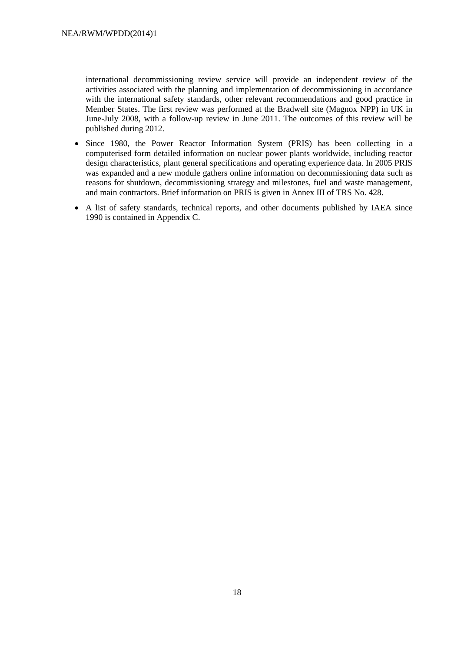international decommissioning review service will provide an independent review of the activities associated with the planning and implementation of decommissioning in accordance with the international safety standards, other relevant recommendations and good practice in Member States. The first review was performed at the Bradwell site (Magnox NPP) in UK in June-July 2008, with a follow-up review in June 2011. The outcomes of this review will be published during 2012.

- Since 1980, the Power Reactor Information System (PRIS) has been collecting in a computerised form detailed information on nuclear power plants worldwide, including reactor design characteristics, plant general specifications and operating experience data. In 2005 PRIS was expanded and a new module gathers online information on decommissioning data such as reasons for shutdown, decommissioning strategy and milestones, fuel and waste management, and main contractors. Brief information on PRIS is given in Annex III of TRS No. 428.
- A list of safety standards, technical reports, and other documents published by IAEA since 1990 is contained in Appendix C.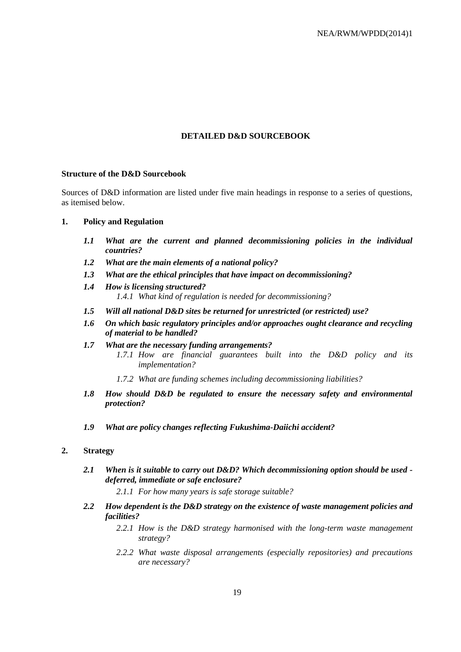#### <span id="page-18-0"></span>**DETAILED D&D SOURCEBOOK**

#### <span id="page-18-1"></span>**Structure of the D&D Sourcebook**

Sources of D&D information are listed under five main headings in response to a series of questions, as itemised below.

#### **1. Policy and Regulation**

- *1.1 What are the current and planned decommissioning policies in the individual countries?*
- *1.2 What are the main elements of a national policy?*
- *1.3 What are the ethical principles that have impact on decommissioning?*
- *1.4 How is licensing structured? 1.4.1 What kind of regulation is needed for decommissioning?*
- *1.5 Will all national D&D sites be returned for unrestricted (or restricted) use?*
- *1.6 On which basic regulatory principles and/or approaches ought clearance and recycling of material to be handled?*
- *1.7 What are the necessary funding arrangements? 1.7.1 How are financial guarantees built into the D&D policy and its implementation?*
	- *1.7.2 What are funding schemes including decommissioning liabilities?*
- *1.8 How should D&D be regulated to ensure the necessary safety and environmental protection?*
- *1.9 What are policy changes reflecting Fukushima-Daiichi accident?*

#### **2. Strategy**

*2.1 When is it suitable to carry out D&D? Which decommissioning option should be used deferred, immediate or safe enclosure?*

*2.1.1 For how many years is safe storage suitable?*

- *2.2 How dependent is the D&D strategy on the existence of waste management policies and facilities?*
	- *2.2.1 How is the D&D strategy harmonised with the long-term waste management strategy?*
	- *2.2.2 What waste disposal arrangements (especially repositories) and precautions are necessary?*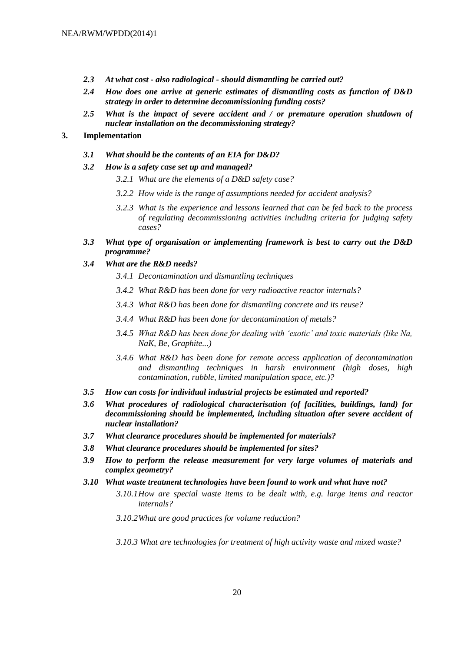- *2.3 At what cost - also radiological - should dismantling be carried out?*
- *2.4 How does one arrive at generic estimates of dismantling costs as function of D&D strategy in order to determine decommissioning funding costs?*
- *2.5 What is the impact of severe accident and / or premature operation shutdown of nuclear installation on the decommissioning strategy?*

#### **3. Implementation**

- *3.1 What should be the contents of an EIA for D&D?*
- *3.2 How is a safety case set up and managed?*
	- *3.2.1 What are the elements of a D&D safety case?*
	- *3.2.2 How wide is the range of assumptions needed for accident analysis?*
	- *3.2.3 What is the experience and lessons learned that can be fed back to the process of regulating decommissioning activities including criteria for judging safety cases?*
- *3.3 What type of organisation or implementing framework is best to carry out the D&D programme?*

#### *3.4 What are the R&D needs?*

- *3.4.1 Decontamination and dismantling techniques*
- *3.4.2 What R&D has been done for very radioactive reactor internals?*
- *3.4.3 What R&D has been done for dismantling concrete and its reuse?*
- *3.4.4 What R&D has been done for decontamination of metals?*
- *3.4.5 What R&D has been done for dealing with 'exotic' and toxic materials (like Na, NaK, Be, Graphite...)*
- *3.4.6 What R&D has been done for remote access application of decontamination and dismantling techniques in harsh environment (high doses, high contamination, rubble, limited manipulation space, etc.)?*
- *3.5 How can costs for individual industrial projects be estimated and reported?*
- *3.6 What procedures of radiological characterisation (of facilities, buildings, land) for decommissioning should be implemented, including situation after severe accident of nuclear installation?*
- *3.7 What clearance procedures should be implemented for materials?*
- *3.8 What clearance procedures should be implemented for sites?*
- *3.9 How to perform the release measurement for very large volumes of materials and complex geometry?*
- *3.10 What waste treatment technologies have been found to work and what have not?* 
	- *3.10.1How are special waste items to be dealt with, e.g. large items and reactor internals?*
	- *3.10.2What are good practices for volume reduction?*
	- *3.10.3 What are technologies for treatment of high activity waste and mixed waste?*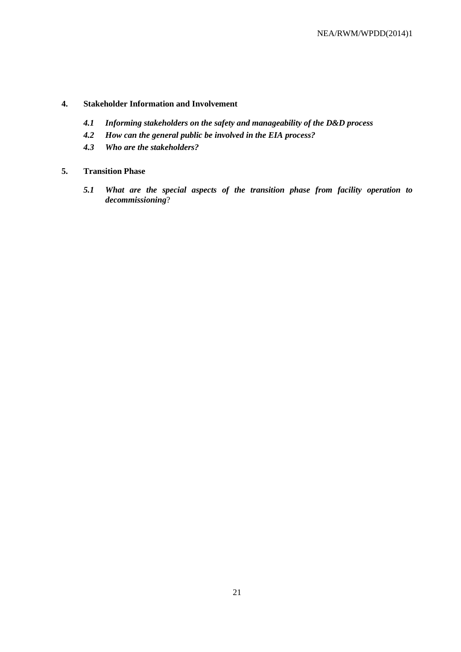# **4. Stakeholder Information and Involvement**

- *4.1 Informing stakeholders on the safety and manageability of the D&D process*
- *4.2 How can the general public be involved in the EIA process?*
- *4.3 Who are the stakeholders?*

## **5. Transition Phase**

*5.1 What are the special aspects of the transition phase from facility operation to decommissioning*?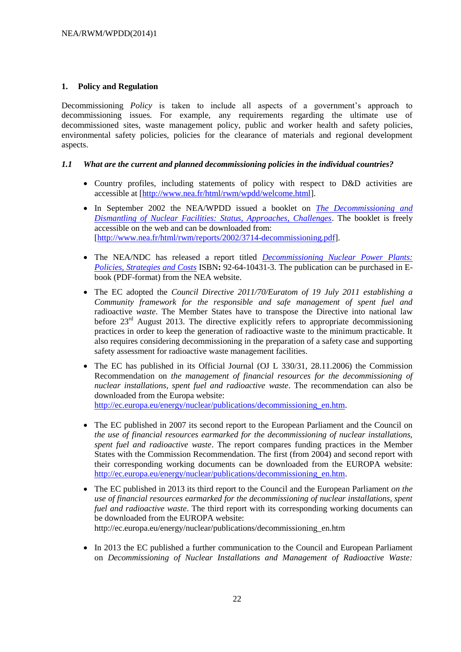## <span id="page-21-0"></span>**1. Policy and Regulation**

Decommissioning *Policy* is taken to include all aspects of a government's approach to decommissioning issues. For example, any requirements regarding the ultimate use of decommissioned sites, waste management policy, public and worker health and safety policies, environmental safety policies, policies for the clearance of materials and regional development aspects.

## *1.1 What are the current and planned decommissioning policies in the individual countries?*

- Country profiles, including statements of policy with respect to D&D activities are accessible at [\[http://www.nea.fr/html/rwm/wpdd/welcome.html\]](http://www.nea.fr/html/rwm/wpdd/welcome.html).
- In September 2002 the NEA/WPDD issued a booklet on *[The Decommissioning and](file://192.168.102.97/html/rwm/reports/2002/3714-decommissioning.pdf)  [Dismantling of Nuclear Facilities: Status, Approaches, Challenges](file://192.168.102.97/html/rwm/reports/2002/3714-decommissioning.pdf)*. The booklet is freely accessible on the web and can be downloaded from: [\[http://www.nea.fr/html/rwm/reports/2002/3714-decommissioning.pdf\]](http://www.nea.fr/html/rwm/reports/2002/3714-decommissioning.pdf).
- The NEA/NDC has released a report titled *[Decommissioning Nuclear Power Plants:](http://publications.oecd.org/kappa/publications/description.asp?ProductId=14530&EditMode=&FormId=&InputId=&NoBorder=)  [Policies, Strategies and Costs](http://publications.oecd.org/kappa/publications/description.asp?ProductId=14530&EditMode=&FormId=&InputId=&NoBorder=)* ISBN: 92-64-10431-3. The publication can be purchased in Ebook (PDF-format) from the NEA website.
- The EC adopted the *Council Directive 2011/70/Euratom of 19 July 2011 establishing a Community framework for the responsible and safe management of spent fuel and*  radioactive *waste*. The Member States have to transpose the Directive into national law before  $23<sup>rd</sup>$  August 2013. The directive explicitly refers to appropriate decommissioning practices in order to keep the generation of radioactive waste to the minimum practicable. It also requires considering decommissioning in the preparation of a safety case and supporting safety assessment for radioactive waste management facilities.
- The EC has published in its Official Journal (OJ L 330/31, 28.11.2006) the Commission Recommendation on *the management of financial resources for the decommissioning of nuclear installations, spent fuel and radioactive waste*. The recommendation can also be downloaded from the Europa website:

[http://ec.europa.eu/energy/nuclear/publications/decommissioning\\_en.htm.](http://ec.europa.eu/energy/nuclear/publications/decommissioning_en.htm)

- The EC published in 2007 its second report to the European Parliament and the Council on *the use of financial resources earmarked for the decommissioning of nuclear installations, spent fuel and radioactive waste*. The report compares funding practices in the Member States with the Commission Recommendation. The first (from 2004) and second report with their corresponding working documents can be downloaded from the EUROPA website: [http://ec.europa.eu/energy/nuclear/publications/decommissioning\\_en.htm.](http://ec.europa.eu/energy/nuclear/publications/decommissioning_en.htm)
- The EC published in 2013 its third report to the Council and the European Parliament *on the use of financial resources earmarked for the decommissioning of nuclear installations, spent fuel and radioactive waste*. The third report with its corresponding working documents can be downloaded from the EUROPA website:

[http://ec.europa.eu/energy/nuclear/publications/decommissioning\\_en.htm](http://ec.europa.eu/energy/nuclear/publications/decommissioning_en.htm)

• In 2013 the EC published a further communication to the Council and European Parliament on *Decommissioning of Nuclear Installations and Management of Radioactive Waste:*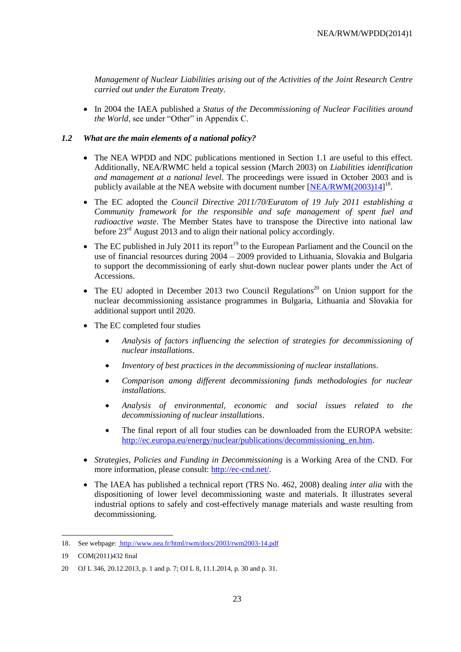*Management of Nuclear Liabilities arising out of the Activities of the Joint Research Centre carried out under the Euratom Treaty*.

 In 2004 the IAEA published a *Status of the Decommissioning of Nuclear Facilities around the World*, see under "Other" in Appendix C.

#### *1.2 What are the main elements of a national policy?*

- The NEA WPDD and NDC publications mentioned in Section 1.1 are useful to this effect. Additionally, NEA/RWMC held a topical session (March 2003) on *Liabilities identification and management at a national level*. The proceedings were issued in October 2003 and is publicly available at the NEA website with document number [\[NEA/RWM\(2003\)14\]](http://www2.oecd.org/oecdinfo/info.aspx?app=OLIScoteEN&Ref=NEA/RWM(2003)14)<sup>18</sup>.
- The EC adopted the *Council Directive 2011/70/Euratom of 19 July 2011 establishing a Community framework for the responsible and safe management of spent fuel and radioactive waste*. The Member States have to transpose the Directive into national law before 23rd August 2013 and to align their national policy accordingly.
- $\bullet$  The EC published in July 2011 its report<sup>19</sup> to the European Parliament and the Council on the use of financial resources during 2004 – 2009 provided to Lithuania, Slovakia and Bulgaria to support the decommissioning of early shut-down nuclear power plants under the Act of Accessions.
- The EU adopted in December 2013 two Council Regulations<sup>20</sup> on Union support for the nuclear decommissioning assistance programmes in Bulgaria, Lithuania and Slovakia for additional support until 2020.
- The EC completed four studies
	- *Analysis of factors influencing the selection of strategies for decommissioning of nuclear installations*.
	- *Inventory of best practices in the decommissioning of nuclear installations*.
	- *Comparison among different decommissioning funds methodologies for nuclear installations*.
	- *Analysis of environmental, economic and social issues related to the decommissioning of nuclear installations*.
	- The final report of all four studies can be downloaded from the EUROPA website: [http://ec.europa.eu/energy/nuclear/publications/decommissioning\\_en.htm.](http://ec.europa.eu/energy/nuclear/publications/decommissioning_en.htm)
- *Strategies, Policies and Funding in Decommissioning* is a Working Area of the CND. For more information, please consult: [http://ec-cnd.net/.](http://ec-cnd.net/)
- The IAEA has published a technical report (TRS No. 462, 2008) dealing *inter alia* with the dispositioning of lower level decommissioning waste and materials. It illustrates several industrial options to safely and cost-effectively manage materials and waste resulting from decommissioning.

<sup>1</sup> 18. See webpage[: http://www.nea.fr/html/rwm/docs/2003/rwm2003-14.pdf](http://www.nea.fr/html/rwm/docs/2003/rwm2003-14.pdf)

<sup>19</sup> COM(2011)432 final

<sup>20</sup> OJ L 346, 20.12.2013, p. 1 and p. 7; OJ L 8, 11.1.2014, p. 30 and p. 31.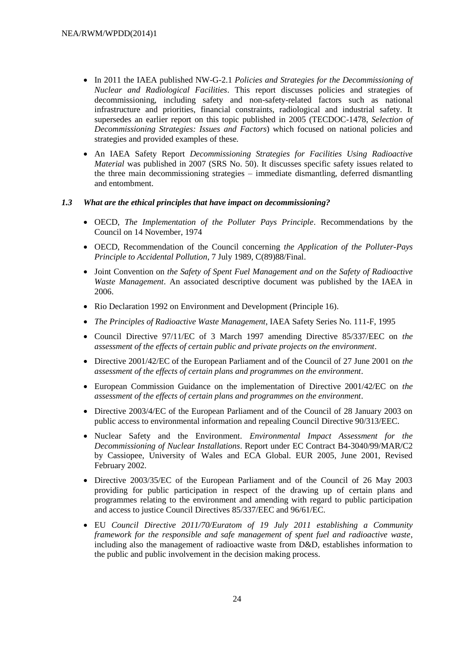- In 2011 the IAEA published NW-G-2.1 *Policies and Strategies for the Decommissioning of Nuclear and Radiological Facilities*. This report discusses policies and strategies of decommissioning, including safety and non-safety-related factors such as national infrastructure and priorities, financial constraints, radiological and industrial safety. It supersedes an earlier report on this topic published in 2005 (TECDOC-1478, *Selection of Decommissioning Strategies: Issues and Factors*) which focused on national policies and strategies and provided examples of these*.*
- An IAEA Safety Report *Decommissioning Strategies for Facilities Using Radioactive Material* was published in 2007 (SRS No. 50). It discusses specific safety issues related to the three main decommissioning strategies – immediate dismantling, deferred dismantling and entombment.

#### *1.3 What are the ethical principles that have impact on decommissioning?*

- OECD, *The Implementation of the Polluter Pays Principle*. Recommendations by the Council on 14 November, 1974
- OECD, Recommendation of the Council concerning *the Application of the Polluter-Pays Principle to Accidental Pollution*, 7 July 1989, C(89)88/Final.
- Joint Convention on *the Safety of Spent Fuel Management and on the Safety of Radioactive Waste Management*. An associated descriptive document was published by the IAEA in 2006.
- Rio Declaration 1992 on Environment and Development (Principle 16).
- *The Principles of Radioactive Waste Management*, IAEA Safety Series No. 111-F, 1995
- Council Directive 97/11/EC of 3 March 1997 amending Directive 85/337/EEC on *the assessment of the effects of certain public and private projects on the environment*.
- Directive 2001/42/EC of the European Parliament and of the Council of 27 June 2001 on *the assessment of the effects of certain plans and programmes on the environment*.
- European Commission Guidance on the implementation of Directive 2001/42/EC on *the assessment of the effects of certain plans and programmes on the environment*.
- Directive 2003/4/EC of the European Parliament and of the Council of 28 January 2003 on public access to environmental information and repealing Council Directive 90/313/EEC.
- Nuclear Safety and the Environment. *Environmental Impact Assessment for the Decommissioning of Nuclear Installations*. Report under EC Contract B4-3040/99/MAR/C2 by Cassiopee, University of Wales and ECA Global. EUR 2005, June 2001, Revised February 2002.
- Directive 2003/35/EC of the European Parliament and of the Council of 26 May 2003 providing for public participation in respect of the drawing up of certain plans and programmes relating to the environment and amending with regard to public participation and access to justice Council Directives 85/337/EEC and 96/61/EC.
- EU *Council Directive 2011/70/Euratom of 19 July 2011 establishing a Community framework for the responsible and safe management of spent fuel and radioactive waste*, including also the management of radioactive waste from D&D, establishes information to the public and public involvement in the decision making process.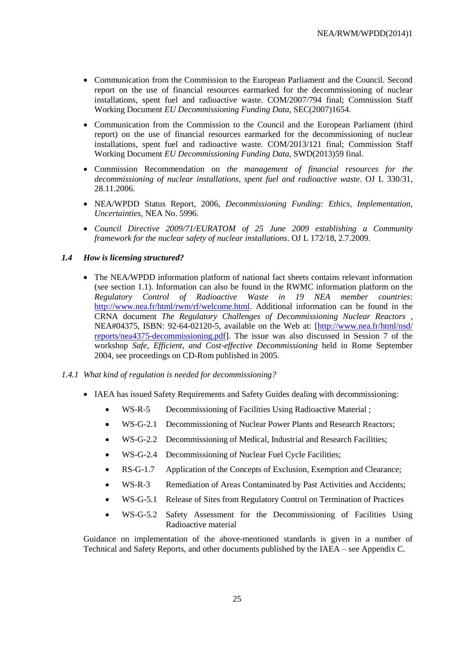- Communication from the Commission to the European Parliament and the Council. Second report on the use of financial resources earmarked for the decommissioning of nuclear installations, spent fuel and radioactive waste. COM/2007/794 final; Commission Staff Working Document *EU Decommissioning Funding Data,* SEC(2007)1654.
- Communication from the Commission to the Council and the European Parliament (third report) on the use of financial resources earmarked for the decommissioning of nuclear installations, spent fuel and radioactive waste. COM/2013/121 final; Commission Staff Working Document *EU Decommissioning Funding Data,* SWD(2013)59 final.
- Commission Recommendation on *the management of financial resources for the decommissioning of nuclear installations, spent fuel and radioactive waste*. OJ L 330/31, 28.11.2006.
- NEA/WPDD Status Report, 2006, *Decommissioning Funding: Ethics, Implementation, Uncertainties*, NEA No. 5996.
- *Council Directive 2009/71/EURATOM of 25 June 2009 establishing a Community framework for the nuclear safety of nuclear installations*. OJ L 172/18, 2.7.2009.

## *1.4 How is licensing structured?*

• The NEA/WPDD information platform of national fact sheets contains relevant information (see section 1.1). Information can also be found in the RWMC information platform on the *Regulatory Control of Radioactive Waste in 19 NEA member countries*: [http://www.nea.fr/html/rwm/rf/welcome.html.](http://www.nea.fr/html/rwm/rf/welcome.html) Additional information can be found in the CRNA document *The Regulatory Challenges of Decommissioning Nuclear Reactors* , NEA#04375, ISBN: 92-64-02120-5, available on the Web at: [\[http://www.nea.fr/html/nsd/](http://www.nea.fr/html/nsd/reports/nea4375-decommissioning.pdf) [reports/nea4375-decommissioning.pdf\]](http://www.nea.fr/html/nsd/reports/nea4375-decommissioning.pdf). The issue was also discussed in Session 7 of the workshop *Safe, Efficient, and Cost-effective Decommissioning* held in Rome September 2004, see proceedings on CD-Rom published in 2005.

#### *1.4.1 What kind of regulation is needed for decommissioning?*

- IAEA has issued Safety Requirements and Safety Guides dealing with decommissioning:
	- WS-R-5 Decommissioning of Facilities Using Radioactive Material ;
	- WS-G-2.1 Decommissioning of Nuclear Power Plants and Research Reactors;
	- WS-G-2.2 Decommissioning of Medical, Industrial and Research Facilities;
	- WS-G-2.4 Decommissioning of Nuclear Fuel Cycle Facilities;
	- RS-G-1.7 Application of the Concepts of Exclusion, Exemption and Clearance;
	- WS-R-3 Remediation of Areas Contaminated by Past Activities and Accidents;
	- WS-G-5.1 Release of Sites from Regulatory Control on Termination of Practices
	- WS-G-5.2 Safety Assessment for the Decommissioning of Facilities Using Radioactive material

Guidance on implementation of the above-mentioned standards is given in a number of Technical and Safety Reports, and other documents published by the IAEA – see Appendix C.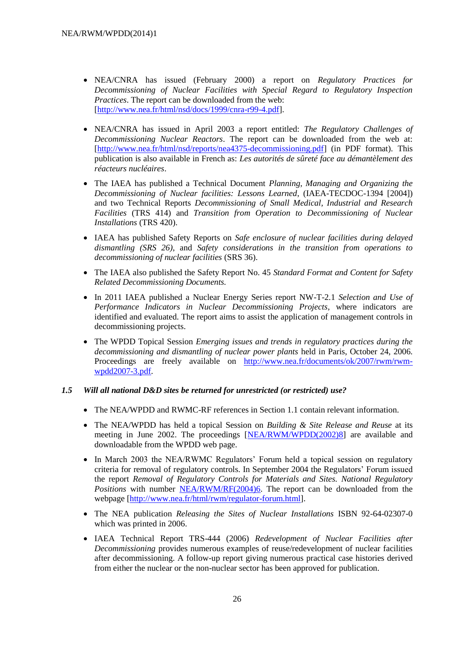- NEA/CNRA has issued (February 2000) a report on *Regulatory Practices for Decommissioning of Nuclear Facilities with Special Regard to Regulatory Inspection Practices*. The report can be downloaded from the web: [\[http://www.nea.fr/html/nsd/docs/1999/cnra-r99-4.pdf\]](http://www.nea.fr/html/nsd/docs/1999/cnra-r99-4.pdf).
- NEA/CNRA has issued in April 2003 a report entitled: *The Regulatory Challenges of Decommissioning Nuclear Reactors*. The report can be downloaded from the web at: [\[http://www.nea.fr/html/nsd/reports/nea4375-decommissioning.pdf\]](http://home.nea.fr/html/nsd/reports/nea4375-decommissioning.pdf) (in PDF format). This publication is also available in French as: *Les autorités de sûreté face au démantèlement des réacteurs nucléaires*.
- The IAEA has published a Technical Document *Planning, Managing and Organizing the Decommissioning of Nuclear facilities: Lessons Learned*, (IAEA-TECDOC-1394 [2004]) and two Technical Reports *Decommissioning of Small Medical, Industrial and Research Facilities* (TRS 414) and *Transition from Operation to Decommissioning of Nuclear Installations* (TRS 420).
- IAEA has published Safety Reports on *Safe enclosure of nuclear facilities during delayed dismantling (SRS 26)*, and *Safety considerations in the transition from operations to decommissioning of nuclear facilities* (SRS 36).
- The IAEA also published the Safety Report No. 45 *Standard Format and Content for Safety Related Decommissioning Documents.*
- In 2011 IAEA published a Nuclear Energy Series report NW-T-2.1 *Selection and Use of Performance Indicators in Nuclear Decommissioning Projects*, where indicators are identified and evaluated. The report aims to assist the application of management controls in decommissioning projects.
- The WPDD Topical Session *Emerging issues and trends in regulatory practices during the decommissioning and dismantling of nuclear power plants* held in Paris, October 24, 2006. Proceedings are freely available on [http://www.nea.fr/documents/ok/2007/rwm/rwm](http://www.nea.fr/documents/ok/2007/rwm/rwm-wpdd2007-3.pdf)[wpdd2007-3.pdf.](http://www.nea.fr/documents/ok/2007/rwm/rwm-wpdd2007-3.pdf)

#### *1.5 Will all national D&D sites be returned for unrestricted (or restricted) use?*

- The NEA/WPDD and RWMC-RF references in Section 1.1 contain relevant information.
- The NEA/WPDD has held a topical Session on *Building & Site Release and Reuse* at its meeting in June 2002. The proceedings [\[NEA/RWM/WPDD\(2002\)8\]](http://www2.oecd.org/oecdinfo/info.aspx?app=OLIScoteEN&Ref=NEA/RWM/WPDD(2002)8) are available and downloadable from the WPDD web page.
- In March 2003 the NEA/RWMC Regulators' Forum held a topical session on regulatory criteria for removal of regulatory controls. In September 2004 the Regulators' Forum issued the report *Removal of Regulatory Controls for Materials and Sites. National Regulatory Positions* with number [NEA/RWM/RF\(2004\)6.](http://www2.oecd.org/oecdinfo/info.aspx?app=OLIScoteEN&Ref=NEA/RWM/RF(2004)6) The report can be downloaded from the webpage [\[http://www.nea.fr/html/rwm/regulator-forum.html\]](http://www.nea.fr/html/rwm/regulator-forum.html).
- The NEA publication *Releasing the Sites of Nuclear Installations* ISBN 92-64-02307-0 which was printed in 2006.
- IAEA Technical Report TRS-444 (2006) *Redevelopment of Nuclear Facilities after Decommissioning* provides numerous examples of reuse/redevelopment of nuclear facilities after decommissioning. A follow-up report giving numerous practical case histories derived from either the nuclear or the non-nuclear sector has been approved for publication.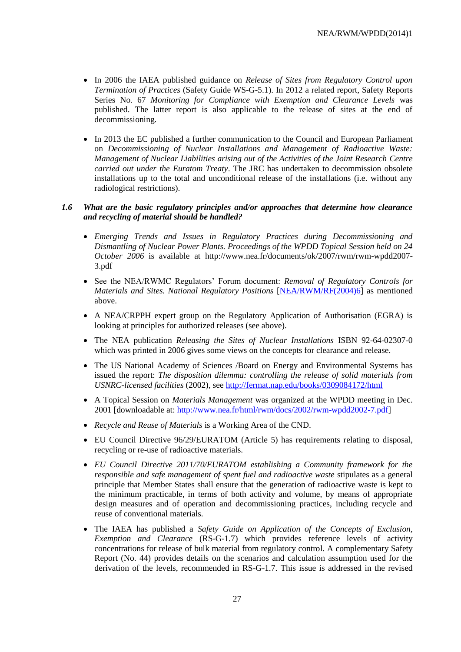- In 2006 the IAEA published guidance on *Release of Sites from Regulatory Control upon Termination of Practices* (Safety Guide WS-G-5.1). In 2012 a related report, Safety Reports Series No. 67 *Monitoring for Compliance with Exemption and Clearance Levels* was published. The latter report is also applicable to the release of sites at the end of decommissioning.
- In 2013 the EC published a further communication to the Council and European Parliament on *Decommissioning of Nuclear Installations and Management of Radioactive Waste: Management of Nuclear Liabilities arising out of the Activities of the Joint Research Centre carried out under the Euratom Treaty*. The JRC has undertaken to decommission obsolete installations up to the total and unconditional release of the installations (i.e. without any radiological restrictions).

#### *1.6 What are the basic regulatory principles and/or approaches that determine how clearance and recycling of material should be handled?*

- *Emerging Trends and Issues in Regulatory Practices during Decommissioning and Dismantling of Nuclear Power Plants. Proceedings of the WPDD Topical Session held on 24 October 2006* is available at http://www.nea.fr/documents/ok/2007/rwm/rwm-wpdd2007- 3.pdf
- See the NEA/RWMC Regulators' Forum document: *Removal of Regulatory Controls for Materials and Sites. National Regulatory Positions* [\[NEA/RWM/RF\(2004\)6\]](http://www2.oecd.org/oecdinfo/info.aspx?app=OLIScoteEN&Ref=NEA/RWM/RF(2004)6) as mentioned above.
- A NEA/CRPPH expert group on the Regulatory Application of Authorisation (EGRA) is looking at principles for authorized releases (see above).
- The NEA publication *Releasing the Sites of Nuclear Installations* ISBN 92-64-02307-0 which was printed in 2006 gives some views on the concepts for clearance and release.
- The US National Academy of Sciences */Board on Energy and Environmental Systems has* issued the report: *The disposition dilemma: controlling the release of solid materials from USNRC-licensed facilities* (2002), see<http://fermat.nap.edu/books/0309084172/html>
- A Topical Session on *Materials Management* was organized at the WPDD meeting in Dec. 2001 [downloadable at[: http://www.nea.fr/html/rwm/docs/2002/rwm-wpdd2002-7.pdf\]](http://www.nea.fr/html/rwm/docs/2002/rwm-wpdd2002-7.pdf)
- *Recycle and Reuse of Materials* is a Working Area of the CND.
- EU Council Directive 96/29/EURATOM (Article 5) has requirements relating to disposal, recycling or re-use of radioactive materials.
- *EU Council Directive 2011/70/EURATOM establishing a Community framework for the responsible and safe management of spent fuel and radioactive waste* stipulates as a general principle that Member States shall ensure that the generation of radioactive waste is kept to the minimum practicable, in terms of both activity and volume, by means of appropriate design measures and of operation and decommissioning practices, including recycle and reuse of conventional materials.
- The IAEA has published a *Safety Guide on Application of the Concepts of Exclusion, Exemption and Clearance* (RS-G-1.7) which provides reference levels of activity concentrations for release of bulk material from regulatory control. A complementary Safety Report (No. 44) provides details on the scenarios and calculation assumption used for the derivation of the levels, recommended in RS-G-1.7. This issue is addressed in the revised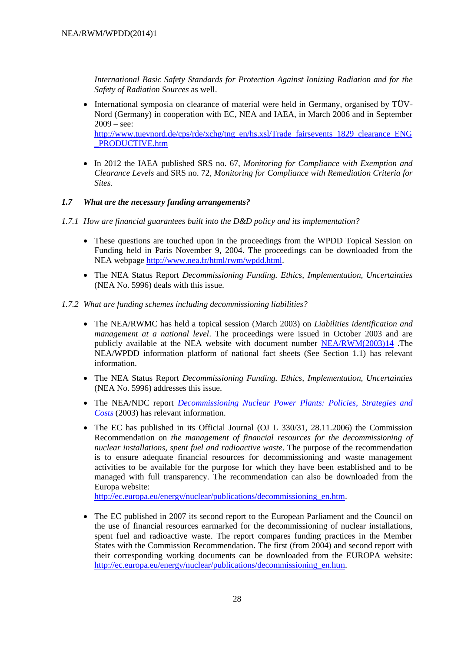*International Basic Safety Standards for Protection Against Ionizing Radiation and for the Safety of Radiation Sources* as well.

- International symposia on clearance of material were held in Germany, organised by TÜV-Nord (Germany) in cooperation with EC, NEA and IAEA, in March 2006 and in September  $2009 - \text{see}:$ [http://www.tuevnord.de/cps/rde/xchg/tng\\_en/hs.xsl/Trade\\_fairsevents\\_1829\\_clearance\\_ENG](http://www.tuevnord.de/cps/rde/xchg/tng_en/hs.xsl/Trade_fairsevents_1829_clearance_ENG_PRODUCTIVE.htm) [\\_PRODUCTIVE.htm](http://www.tuevnord.de/cps/rde/xchg/tng_en/hs.xsl/Trade_fairsevents_1829_clearance_ENG_PRODUCTIVE.htm)
- In 2012 the IAEA published SRS no. 67, *Monitoring for Compliance with Exemption and Clearance Levels* and SRS no. 72, *Monitoring for Compliance with Remediation Criteria for Sites.*

## *1.7 What are the necessary funding arrangements?*

- *1.7.1 How are financial guarantees built into the D&D policy and its implementation?*
	- These questions are touched upon in the proceedings from the WPDD Topical Session on Funding held in Paris November 9, 2004. The proceedings can be downloaded from the NEA webpage [http://www.nea.fr/html/rwm/wpdd.html.](http://www.nea.fr/html/rwm/wpdd.html)
	- The NEA Status Report *Decommissioning Funding. Ethics, Implementation, Uncertainties* (NEA No. 5996) deals with this issue.
- *1.7.2 What are funding schemes including decommissioning liabilities?*
	- The NEA/RWMC has held a topical session (March 2003) on *Liabilities identification and management at a national level*. The proceedings were issued in October 2003 and are publicly available at the NEA website with document number [NEA/RWM\(2003\)14](http://www2.oecd.org/oecdinfo/info.aspx?app=OLIScoteEN&Ref=NEA/RWM(2003)14) .The NEA/WPDD information platform of national fact sheets (See Section 1.1) has relevant information.
	- The NEA Status Report *Decommissioning Funding. Ethics, Implementation, Uncertainties* (NEA No. 5996) addresses this issue.
	- The NEA/NDC report *[Decommissioning Nuclear Power Plants: Policies, Strategies and](http://publications.oecd.org/kappa/publications/description.asp?ProductId=14530&EditMode=&FormId=&InputId=&NoBorder=)  [Costs](http://publications.oecd.org/kappa/publications/description.asp?ProductId=14530&EditMode=&FormId=&InputId=&NoBorder=)* (2003) has relevant information.
	- The EC has published in its Official Journal (OJ L 330/31, 28.11.2006) the Commission Recommendation on *the management of financial resources for the decommissioning of nuclear installations, spent fuel and radioactive waste*. The purpose of the recommendation is to ensure adequate financial resources for decommissioning and waste management activities to be available for the purpose for which they have been established and to be managed with full transparency. The recommendation can also be downloaded from the Europa website:

[http://ec.europa.eu/energy/nuclear/publications/decommissioning\\_en.htm.](http://ec.europa.eu/energy/nuclear/publications/decommissioning_en.htm)

• The EC published in 2007 its second report to the European Parliament and the Council on the use of financial resources earmarked for the decommissioning of nuclear installations, spent fuel and radioactive waste. The report compares funding practices in the Member States with the Commission Recommendation. The first (from 2004) and second report with their corresponding working documents can be downloaded from the EUROPA website: [http://ec.europa.eu/energy/nuclear/publications/decommissioning\\_en.htm.](http://ec.europa.eu/energy/nuclear/publications/decommissioning_en.htm)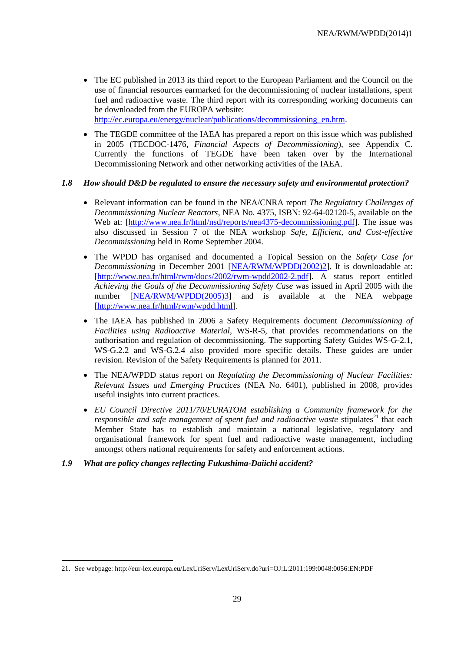• The EC published in 2013 its third report to the European Parliament and the Council on the use of financial resources earmarked for the decommissioning of nuclear installations, spent fuel and radioactive waste. The third report with its corresponding working documents can be downloaded from the EUROPA website: [http://ec.europa.eu/energy/nuclear/publications/decommissioning\\_en.htm.](http://ec.europa.eu/energy/nuclear/publications/decommissioning_en.htm)

• The TEGDE committee of the IAEA has prepared a report on this issue which was published in 2005 (TECDOC-1476, *Financial Aspects of Decommissioning*), see Appendix C*.*  Currently the functions of TEGDE have been taken over by the International Decommissioning Network and other networking activities of the IAEA.

## *1.8 How should D&D be regulated to ensure the necessary safety and environmental protection?*

- Relevant information can be found in the NEA/CNRA report *The Regulatory Challenges of Decommissioning Nuclear Reactors*, NEA No. 4375, ISBN: 92-64-02120-5, available on the Web at: [\[http://www.nea.fr/html/nsd/reports/nea4375-decommissioning.pdf\]](http://home.nea.fr/html/nsd/reports/nea4375-decommissioning.pdf). The issue was also discussed in Session 7 of the NEA workshop *Safe, Efficient, and Cost-effective Decommissioning* held in Rome September 2004.
- The WPDD has organised and documented a Topical Session on the *Safety Case for Decommissioning* in December 2001 [\[NEA/RWM/WPDD\(2002\)2\]](http://www2.oecd.org/oecdinfo/info.aspx?app=OLIScoteEN&Ref=NEA/RWM/WPDD(2002)2). It is downloadable at: [\[http://www.nea.fr/html/rwm/docs/2002/rwm-wpdd2002-2.pdf\]](http://www.nea.fr/html/rwm/docs/2002/rwm-wpdd2002-2.pdf). A status report entitled *Achieving the Goals of the Decommissioning Safety Case* was issued in April 2005 with the number [\[NEA/RWM/WPDD\(2005\)3\]](http://www2.oecd.org/oecdinfo/info.aspx?app=OLIScoteEN&Ref=NEA/RWM/WPDD(2005)3) and is available at the NEA webpage [\[http://www.nea.fr/html/rwm/wpdd.html\]](http://www.nea.fr/html/rwm/wpdd.html).
- The IAEA has published in 2006 a Safety Requirements document *Decommissioning of Facilities using Radioactive Material,* WS-R-5, that provides recommendations on the authorisation and regulation of decommissioning. The supporting Safety Guides WS-G-2.1, WS-G.2.2 and WS-G.2.4 also provided more specific details. These guides are under revision. Revision of the Safety Requirements is planned for 2011.
- The NEA/WPDD status report on *Regulating the Decommissioning of Nuclear Facilities: Relevant Issues and Emerging Practices* (NEA No. 6401), published in 2008, provides useful insights into current practices.
- *EU Council Directive 2011/70/EURATOM establishing a Community framework for the responsible and safe management of spent fuel and radioactive waste stipulates*<sup>21</sup> that each Member State has to establish and maintain a national legislative, regulatory and organisational framework for spent fuel and radioactive waste management, including amongst others national requirements for safety and enforcement actions.

#### *1.9 What are policy changes reflecting Fukushima-Daiichi accident?*

-

<sup>21.</sup> See webpage: http://eur-lex.europa.eu/LexUriServ/LexUriServ.do?uri=OJ:L:2011:199:0048:0056:EN:PDF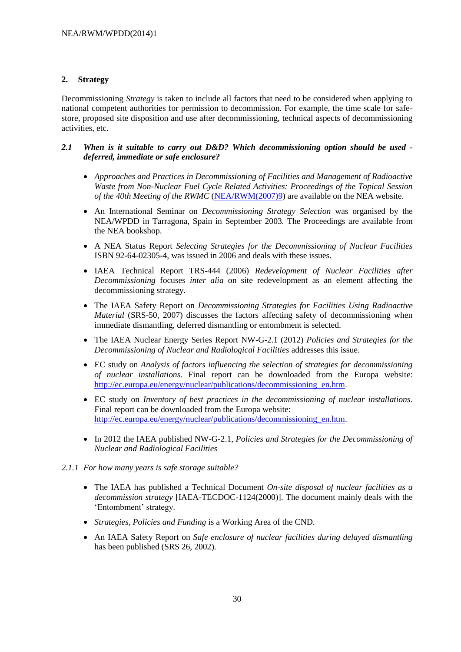## <span id="page-29-0"></span>**2. Strategy**

Decommissioning *Strategy* is taken to include all factors that need to be considered when applying to national competent authorities for permission to decommission. For example, the time scale for safestore, proposed site disposition and use after decommissioning, technical aspects of decommissioning activities, etc.

#### *2.1 When is it suitable to carry out D&D? Which decommissioning option should be used deferred, immediate or safe enclosure?*

- *Approaches and Practices in Decommissioning of Facilities and Management of Radioactive Waste from Non-Nuclear Fuel Cycle Related Activities: Proceedings of the Topical Session of the 40th Meeting of the RWMC* [\(NEA/RWM\(2007\)9\)](http://www2.oecd.org/oecdinfo/info.aspx?app=OLIScoteEN&Ref=NEA/RWM(2007)9) are available on the NEA website.
- An International Seminar on *Decommissioning Strategy Selection* was organised by the NEA/WPDD in Tarragona, Spain in September 2003. The Proceedings are available from the NEA bookshop.
- A NEA Status Report *Selecting Strategies for the Decommissioning of Nuclear Facilities* ISBN 92-64-02305-4, was issued in 2006 and deals with these issues.
- IAEA Technical Report TRS-444 (2006) *Redevelopment of Nuclear Facilities after Decommissioning* focuses *inter alia* on site redevelopment as an element affecting the decommissioning strategy.
- The IAEA Safety Report on *Decommissioning Strategies for Facilities Using Radioactive Material* (SRS-50, 2007) discusses the factors affecting safety of decommissioning when immediate dismantling, deferred dismantling or entombment is selected.
- The IAEA Nuclear Energy Series Report NW-G-2.1 (2012) *Policies and Strategies for the Decommissioning of Nuclear and Radiological Facilities* addresses this issue.
- EC study on *Analysis of factors influencing the selection of strategies for decommissioning of nuclear installations*. Final report can be downloaded from the Europa website: [http://ec.europa.eu/energy/nuclear/publications/decommissioning\\_en.htm.](http://ec.europa.eu/energy/nuclear/publications/decommissioning_en.htm)
- EC study on *Inventory of best practices in the decommissioning of nuclear installations*. Final report can be downloaded from the Europa website: [http://ec.europa.eu/energy/nuclear/publications/decommissioning\\_en.htm.](http://ec.europa.eu/energy/nuclear/publications/decommissioning_en.htm)
- In 2012 the IAEA published NW-G-2.1, *Policies and Strategies for the Decommissioning of Nuclear and Radiological Facilities*
- *2.1.1 For how many years is safe storage suitable?*
	- The IAEA has published a Technical Document *On-site disposal of nuclear facilities as a decommission strategy* [IAEA-TECDOC-1124(2000)]. The document mainly deals with the 'Entombment' strategy.
	- *Strategies, Policies and Funding* is a Working Area of the CND.
	- An IAEA Safety Report on *Safe enclosure of nuclear facilities during delayed dismantling* has been published (SRS 26, 2002).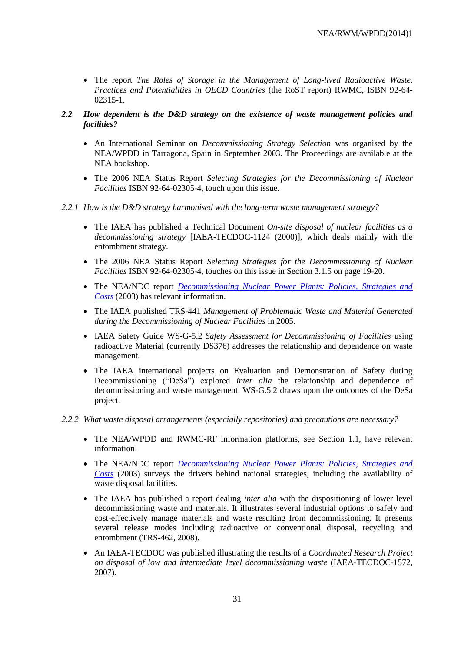The report *The Roles of Storage in the Management of Long-lived Radioactive Waste. Practices and Potentialities in OECD Countries* (the RoST report) RWMC, ISBN 92-64- 02315-1.

#### *2.2 How dependent is the D&D strategy on the existence of waste management policies and facilities?*

- An International Seminar on *Decommissioning Strategy Selection* was organised by the NEA/WPDD in Tarragona, Spain in September 2003. The Proceedings are available at the NEA bookshop.
- The 2006 NEA Status Report *Selecting Strategies for the Decommissioning of Nuclear Facilities* ISBN 92-64-02305-4, touch upon this issue.

#### *2.2.1 How is the D&D strategy harmonised with the long-term waste management strategy?*

- The IAEA has published a Technical Document *On-site disposal of nuclear facilities as a decommissioning strategy* [IAEA-TECDOC-1124 (2000)], which deals mainly with the entombment strategy.
- The 2006 NEA Status Report *Selecting Strategies for the Decommissioning of Nuclear Facilities* ISBN 92-64-02305-4, touches on this issue in Section 3.1.5 on page 19-20.
- The NEA/NDC report *[Decommissioning Nuclear Power Plants: Policies, Strategies and](http://publications.oecd.org/kappa/publications/description.asp?ProductId=14530&EditMode=&FormId=&InputId=&NoBorder=)  [Costs](http://publications.oecd.org/kappa/publications/description.asp?ProductId=14530&EditMode=&FormId=&InputId=&NoBorder=)* (2003) has relevant information.
- The IAEA published TRS-441 *Management of Problematic Waste and Material Generated during the Decommissioning of Nuclear Facilities* in 2005.
- IAEA Safety Guide WS-G-5.2 *Safety Assessment for Decommissioning of Facilities* using radioactive Material (currently DS376) addresses the relationship and dependence on waste management.
- The IAEA international projects on Evaluation and Demonstration of Safety during Decommissioning ("DeSa") explored *inter alia* the relationship and dependence of decommissioning and waste management. WS-G.5.2 draws upon the outcomes of the DeSa project.

#### *2.2.2 What waste disposal arrangements (especially repositories) and precautions are necessary?*

- The NEA/WPDD and RWMC-RF information platforms, see Section 1.1, have relevant information.
- The NEA/NDC report *[Decommissioning Nuclear Power Plants: Policies, Strategies and](http://publications.oecd.org/kappa/publications/description.asp?ProductId=14530&EditMode=&FormId=&InputId=&NoBorder=)  [Costs](http://publications.oecd.org/kappa/publications/description.asp?ProductId=14530&EditMode=&FormId=&InputId=&NoBorder=)* (2003) surveys the drivers behind national strategies, including the availability of waste disposal facilities.
- The IAEA has published a report dealing *inter alia* with the dispositioning of lower level decommissioning waste and materials. It illustrates several industrial options to safely and cost-effectively manage materials and waste resulting from decommissioning. It presents several release modes including radioactive or conventional disposal, recycling and entombment (TRS-462, 2008).
- An IAEA-TECDOC was published illustrating the results of a *Coordinated Research Project on disposal of low and intermediate level decommissioning waste* (IAEA-TECDOC-1572, 2007).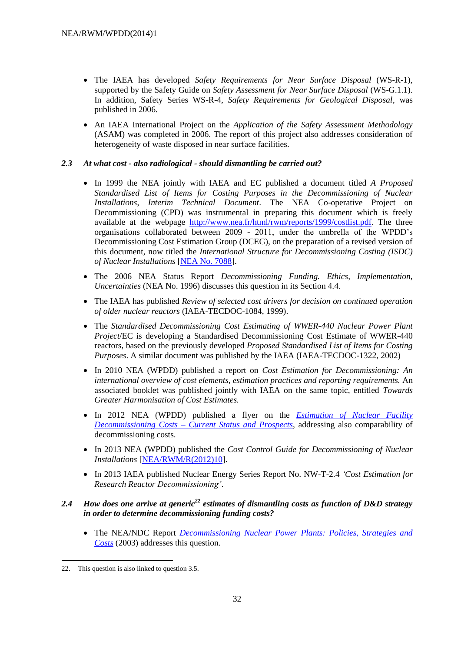- The IAEA has developed *Safety Requirements for Near Surface Disposal* (WS-R-1), supported by the Safety Guide on *Safety Assessment for Near Surface Disposal* (WS-G.1.1). In addition, Safety Series WS-R-4, *Safety Requirements for Geological Disposal*, was published in 2006.
- An IAEA International Project on the *Application of the Safety Assessment Methodology*  (ASAM) was completed in 2006. The report of this project also addresses consideration of heterogeneity of waste disposed in near surface facilities.

## *2.3 At what cost - also radiological - should dismantling be carried out?*

- In 1999 the NEA jointly with IAEA and EC published a document titled *A Proposed Standardised List of Items for Costing Purposes in the Decommissioning of Nuclear Installations*, *Interim Technical Document*. The NEA Co-operative Project on Decommissioning (CPD) was instrumental in preparing this document which is freely available at the webpage [http://www.nea.fr/html/rwm/reports/1999/costlist.pdf.](http://www.nea.fr/html/rwm/reports/1999/costlist.pdf) The three organisations collaborated between 2009 - 2011, under the umbrella of the WPDD's Decommissioning Cost Estimation Group (DCEG), on the preparation of a revised version of this document, now titled the *International Structure for Decommissioning Costing (ISDC) of Nuclear Installations* [\[NEA No. 7088\]](http://www.oecd-nea.org/rwm/reports/2012/ISDC-nuclear-installations.pdf).
- The 2006 NEA Status Report *Decommissioning Funding. Ethics, Implementation, Uncertainties* (NEA No. 1996) discusses this question in its Section 4.4.
- The IAEA has published *Review of selected cost drivers for decision on continued operation of older nuclear reactors* (IAEA-TECDOC-1084, 1999).
- The *Standardised Decommissioning Cost Estimating of WWER-440 Nuclear Power Plant Project*/EC is developing a Standardised Decommissioning Cost Estimate of WWER-440 reactors, based on the previously developed *Proposed Standardised List of Items for Costing Purposes*. A similar document was published by the IAEA (IAEA-TECDOC-1322, 2002)
- In 2010 NEA (WPDD) published a report on *Cost Estimation for Decommissioning: An international overview of cost elements, estimation practices and reporting requirements.* An associated booklet was published jointly with IAEA on the same topic, entitled *Towards Greater Harmonisation of Cost Estimates.*
- In 2012 NEA (WPDD) published a flyer on the *[Estimation of Nuclear Facility](http://www.oecd-nea.org/rwm/wpdd/documents/WPDD-flyer-mar2012.pdf)  Decommissioning Costs – [Current Status and Prospects](http://www.oecd-nea.org/rwm/wpdd/documents/WPDD-flyer-mar2012.pdf)*, addressing also comparability of decommissioning costs.
- In 2013 NEA (WPDD) published the *Cost Control Guide for Decommissioning of Nuclear Installations* [\[NEA/RWM/R\(2012\)10\]](http://www2.oecd.org/oecdinfo/info.aspx?app=OLIScoteEN&Ref=NEA/RWM/R(2012)10).
- In 2013 IAEA published Nuclear Energy Series Report No. NW-T-2.4 *'Cost Estimation for Research Reactor Decommissioning'*.

# *2.4 How does one arrive at generic<sup>22</sup> estimates of dismantling costs as function of D&D strategy in order to determine decommissioning funding costs?*

 The NEA/NDC Report *[Decommissioning Nuclear Power Plants: Policies, Strategies and](http://publications.oecd.org/kappa/publications/description.asp?ProductId=14530&EditMode=&FormId=&InputId=&NoBorder=)  [Costs](http://publications.oecd.org/kappa/publications/description.asp?ProductId=14530&EditMode=&FormId=&InputId=&NoBorder=)* (2003) addresses this question.

<sup>-</sup>22. This question is also linked to question 3.5.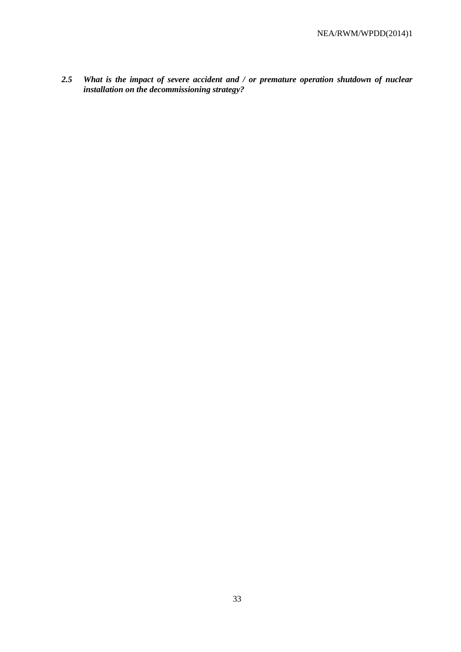*2.5 What is the impact of severe accident and / or premature operation shutdown of nuclear installation on the decommissioning strategy?*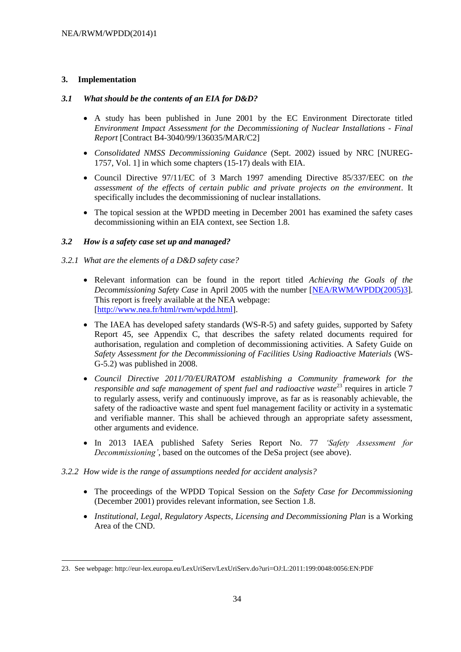## <span id="page-33-0"></span>**3. Implementation**

-

#### *3.1 What should be the contents of an EIA for D&D?*

- A study has been published in June 2001 by the EC Environment Directorate titled *Environment Impact Assessment for the Decommissioning of Nuclear Installations - Final Report* [Contract B4-3040/99/136035/MAR/C2]
- *Consolidated NMSS Decommissioning Guidance* (Sept. 2002) issued by NRC [NUREG-1757, Vol. 1] in which some chapters (15-17) deals with EIA.
- Council Directive 97/11/EC of 3 March 1997 amending Directive 85/337/EEC on *the assessment of the effects of certain public and private projects on the environment*. It specifically includes the decommissioning of nuclear installations.
- The topical session at the WPDD meeting in December 2001 has examined the safety cases decommissioning within an EIA context, see Section 1.8.

#### *3.2 How is a safety case set up and managed?*

#### *3.2.1 What are the elements of a D&D safety case?*

- Relevant information can be found in the report titled *Achieving the Goals of the Decommissioning Safety Case* in April 2005 with the number [\[NEA/RWM/WPDD\(2005\)3\]](http://www2.oecd.org/oecdinfo/info.aspx?app=OLIScoteEN&Ref=NEA/RWM/WPDD(2005)3). This report is freely available at the NEA webpage: [\[http://www.nea.fr/html/rwm/wpdd.html\]](http://www.nea.fr/html/rwm/wpdd.html).
- The IAEA has developed safety standards (WS-R-5) and safety guides, supported by Safety Report 45, see Appendix C, that describes the safety related documents required for authorisation, regulation and completion of decommissioning activities. A Safety Guide on *Safety Assessment for the Decommissioning of Facilities Using Radioactive Materials* (WS-G-5.2) was published in 2008.
- *Council Directive 2011/70/EURATOM establishing a Community framework for the responsible and safe management of spent fuel and radioactive waste*<sup>23</sup> requires in article 7 to regularly assess, verify and continuously improve, as far as is reasonably achievable, the safety of the radioactive waste and spent fuel management facility or activity in a systematic and verifiable manner. This shall be achieved through an appropriate safety assessment, other arguments and evidence.
- In 2013 IAEA published Safety Series Report No. 77 *'Safety Assessment for Decommissioning'*, based on the outcomes of the DeSa project (see above).

#### *3.2.2 How wide is the range of assumptions needed for accident analysis?*

- The proceedings of the WPDD Topical Session on the *Safety Case for Decommissioning* (December 2001) provides relevant information, see Section 1.8.
- *Institutional, Legal, Regulatory Aspects, Licensing and Decommissioning Plan* is a Working Area of the CND.

<sup>23.</sup> See webpage: http://eur-lex.europa.eu/LexUriServ/LexUriServ.do?uri=OJ:L:2011:199:0048:0056:EN:PDF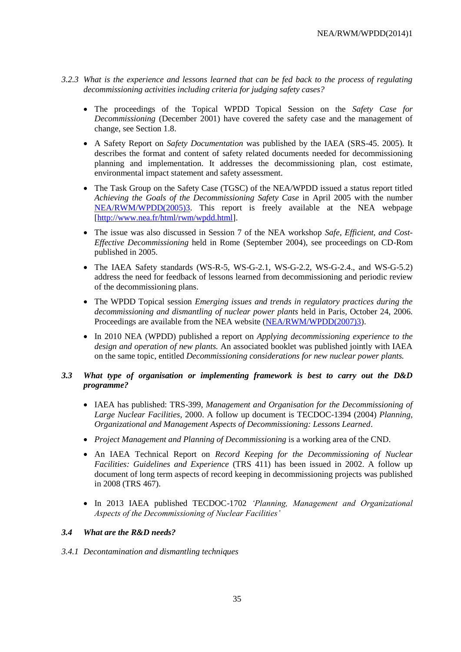- *3.2.3 What is the experience and lessons learned that can be fed back to the process of regulating decommissioning activities including criteria for judging safety cases?*
	- The proceedings of the Topical WPDD Topical Session on the *Safety Case for Decommissioning* (December 2001) have covered the safety case and the management of change, see Section 1.8.
	- A Safety Report on *Safety Documentation* was published by the IAEA (SRS-45. 2005). It describes the format and content of safety related documents needed for decommissioning planning and implementation. It addresses the decommissioning plan, cost estimate, environmental impact statement and safety assessment.
	- The Task Group on the Safety Case (TGSC) of the NEA/WPDD issued a status report titled *Achieving the Goals of the Decommissioning Safety Case* in April 2005 with the number [NEA/RWM/WPDD\(2005\)3.](http://www2.oecd.org/oecdinfo/info.aspx?app=OLIScoteEN&Ref=NEA/RWM/WPDD(2005)3) This report is freely available at the NEA webpage [\[http://www.nea.fr/html/rwm/wpdd.html\]](http://www.nea.fr/html/rwm/wpdd.html).
	- The issue was also discussed in Session 7 of the NEA workshop *Safe, Efficient, and Cost-Effective Decommissioning* held in Rome (September 2004), see proceedings on CD-Rom published in 2005.
	- The IAEA Safety standards (WS-R-5, WS-G-2.1, WS-G-2.2, WS-G-2.4., and WS-G-5.2) address the need for feedback of lessons learned from decommissioning and periodic review of the decommissioning plans.
	- The WPDD Topical session *Emerging issues and trends in regulatory practices during the decommissioning and dismantling of nuclear power plants* held in Paris, October 24, 2006. Proceedings are available from the NEA website [\(NEA/RWM/WPDD\(2007\)3\)](http://www2.oecd.org/oecdinfo/info.aspx?app=OLIScoteEN&Ref=NEA/RWM/WPDD(2007)3).
	- In 2010 NEA (WPDD) published a report on *Applying decommissioning experience to the design and operation of new plants.* An associated booklet was published jointly with IAEA on the same topic, entitled *Decommissioning considerations for new nuclear power plants.*

## *3.3 What type of organisation or implementing framework is best to carry out the D&D programme?*

- IAEA has published: TRS-399, *Management and Organisation for the Decommissioning of Large Nuclear Facilities*, 2000. A follow up document is TECDOC-1394 (2004) *Planning, Organizational and Management Aspects of Decommissioning: Lessons Learned*.
- *Project Management and Planning of Decommissioning* is a working area of the CND.
- An IAEA Technical Report on *Record Keeping for the Decommissioning of Nuclear Facilities: Guidelines and Experience* (TRS 411) has been issued in 2002. A follow up document of long term aspects of record keeping in decommissioning projects was published in 2008 (TRS 467).
- In 2013 IAEA published TECDOC-1702 *'Planning, Management and Organizational Aspects of the Decommissioning of Nuclear Facilities'*

# *3.4 What are the R&D needs?*

#### *3.4.1 Decontamination and dismantling techniques*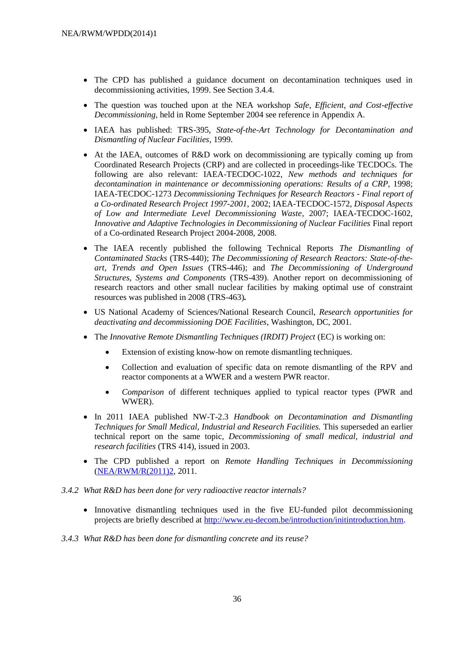- The CPD has published a guidance document on decontamination techniques used in decommissioning activities, 1999. See Section 3.4.4.
- The question was touched upon at the NEA workshop *Safe, Efficient, and Cost-effective Decommissioning*, held in Rome September 2004 see reference in Appendix A.
- IAEA has published: TRS-395, *State-of-the-Art Technology for Decontamination and Dismantling of Nuclear Facilities*, 1999.
- At the IAEA, outcomes of R&D work on decommissioning are typically coming up from Coordinated Research Projects (CRP) and are collected in proceedings-like TECDOCs. The following are also relevant: IAEA-TECDOC-1022, *New methods and techniques for decontamination in maintenance or decommissioning operations: Results of a CRP*, 1998; IAEA-TECDOC-1273 *Decommissioning Techniques for Research Reactors - Final report of a Co-ordinated Research Project 1997-2001*, 2002; IAEA-TECDOC-1572, *Disposal Aspects of Low and Intermediate Level Decommissioning Waste*, 2007; IAEA-TECDOC-1602, *Innovative and Adaptive Technologies in Decommissioning of Nuclear Facilities* Final report of a Co-ordinated Research Project 2004-2008, 2008.
- The IAEA recently published the following Technical Reports *The Dismantling of Contaminated Stacks* (TRS-440); *The Decommissioning of Research Reactors: State-of-theart, Trends and Open Issues* (TRS-446); and *The Decommissioning of Underground Structures, Systems and Components* (TRS-439). Another report on decommissioning of research reactors and other small nuclear facilities by making optimal use of constraint resources was published in 2008 (TRS-463)*.*
- US National Academy of Sciences/National Research Council, *Research opportunities for deactivating and decommissioning DOE Facilities*, Washington, DC, 2001.
- The *Innovative Remote Dismantling Techniques (IRDIT) Project* (EC) is working on:
	- Extension of existing know-how on remote dismantling techniques.
	- Collection and evaluation of specific data on remote dismantling of the RPV and reactor components at a WWER and a western PWR reactor.
	- *Comparison* of different techniques applied to typical reactor types (PWR and WWER).
- In 2011 IAEA published NW-T-2.3 *Handbook on Decontamination and Dismantling Techniques for Small Medical, Industrial and Research Facilities.* This superseded an earlier technical report on the same topic, *Decommissioning of small medical, industrial and research facilities* (TRS 414), issued in 2003.
- The CPD published a report on *Remote Handling Techniques in Decommissioning* [\(NEA/RWM/R\(2011\)2,](http://www2.oecd.org/oecdinfo/info.aspx?app=OLIScoteEN&Ref=NEA/RWM/R(2011)2) 2011.

#### *3.4.2 What R&D has been done for very radioactive reactor internals?*

- Innovative dismantling techniques used in the five EU-funded pilot decommissioning projects are briefly described at [http://www.eu-decom.be/introduction/initintroduction.htm.](http://www.eu-decom.be/introduction/initintroduction.htm)
- *3.4.3 What R&D has been done for dismantling concrete and its reuse?*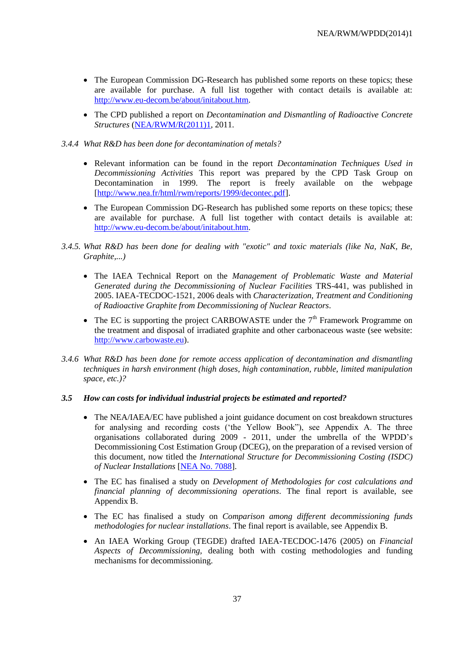- The European Commission DG-Research has published some reports on these topics; these are available for purchase. A full list together with contact details is available at: [http://www.eu-decom.be/about/initabout.htm.](http://www.eu-decom.be/about/initabout.htm)
- The CPD published a report on *Decontamination and Dismantling of Radioactive Concrete Structures* [\(NEA/RWM/R\(2011\)1,](http://www2.oecd.org/oecdinfo/info.aspx?app=OLIScoteEN&Ref=NEA/RWM/R(2011)1) 2011.

#### *3.4.4 What R&D has been done for decontamination of metals?*

- Relevant information can be found in the report *Decontamination Techniques Used in Decommissioning Activities* This report was prepared by the CPD Task Group on Decontamination in 1999. The report is freely available on the webpage [\[http://www.nea.fr/html/rwm/reports/1999/decontec.pdf\]](http://www.nea.fr/html/rwm/reports/1999/decontec.pdf).
- The European Commission DG-Research has published some reports on these topics; these are available for purchase. A full list together with contact details is available at: [http://www.eu-decom.be/about/initabout.htm.](http://www.eu-decom.be/about/initabout.htm)
- *3.4.5. What R&D has been done for dealing with "exotic" and toxic materials (like Na, NaK, Be, Graphite,...)*
	- The IAEA Technical Report on the *Management of Problematic Waste and Material Generated during the Decommissioning of Nuclear Facilities* TRS-441, was published in 2005. IAEA-TECDOC-1521, 2006 deals with *Characterization, Treatment and Conditioning of Radioactive Graphite from Decommissioning of Nuclear Reactors*.
	- The EC is supporting the project CARBOWASTE under the  $7<sup>th</sup>$  Framework Programme on the treatment and disposal of irradiated graphite and other carbonaceous waste (see website: [http://www.carbowaste.eu\)](http://www.carbowaste.eu/).
- *3.4.6 What R&D has been done for remote access application of decontamination and dismantling techniques in harsh environment (high doses, high contamination, rubble, limited manipulation space, etc.)?*

#### *3.5 How can costs for individual industrial projects be estimated and reported?*

- The NEA/IAEA/EC have published a joint guidance document on cost breakdown structures for analysing and recording costs ('the Yellow Book"), see Appendix A. The three organisations collaborated during 2009 - 2011, under the umbrella of the WPDD's Decommissioning Cost Estimation Group (DCEG), on the preparation of a revised version of this document, now titled the *International Structure for Decommissioning Costing (ISDC) of Nuclear Installations* [\[NEA No. 7088\]](http://www.oecd-nea.org/rwm/reports/2012/ISDC-nuclear-installations.pdf).
- The EC has finalised a study on *Development of Methodologies for cost calculations and financial planning of decommissioning operations*. The final report is available, see Appendix B.
- The EC has finalised a study on *Comparison among different decommissioning funds methodologies for nuclear installations*. The final report is available, see Appendix B.
- An IAEA Working Group (TEGDE) drafted IAEA-TECDOC-1476 (2005) on *Financial Aspects of Decommissioning,* dealing both with costing methodologies and funding mechanisms for decommissioning.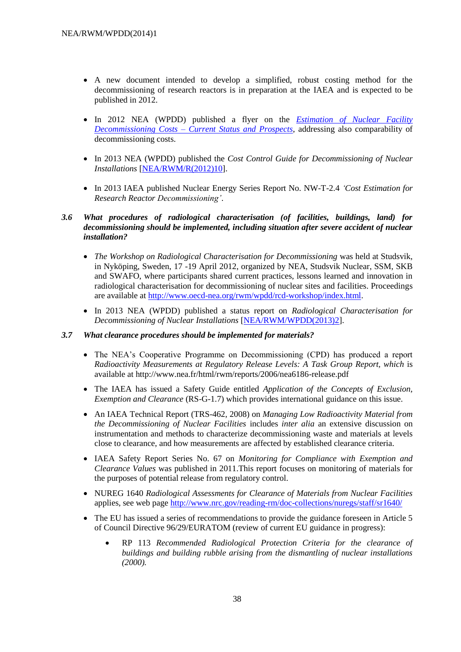- A new document intended to develop a simplified, robust costing method for the decommissioning of research reactors is in preparation at the IAEA and is expected to be published in 2012.
- In 2012 NEA (WPDD) published a flyer on the *[Estimation of Nuclear Facility](http://www.oecd-nea.org/rwm/wpdd/documents/WPDD-flyer-mar2012.pdf)  Decommissioning Costs – [Current Status and Prospects](http://www.oecd-nea.org/rwm/wpdd/documents/WPDD-flyer-mar2012.pdf)*, addressing also comparability of decommissioning costs.
- In 2013 NEA (WPDD) published the *Cost Control Guide for Decommissioning of Nuclear Installations* [\[NEA/RWM/R\(2012\)10\]](http://www2.oecd.org/oecdinfo/info.aspx?app=OLIScoteEN&Ref=NEA/RWM/R(2012)10).
- In 2013 IAEA published Nuclear Energy Series Report No. NW-T-2.4 *'Cost Estimation for Research Reactor Decommissioning'*.
- *3.6 What procedures of radiological characterisation (of facilities, buildings, land) for decommissioning should be implemented, including situation after severe accident of nuclear installation?*
	- *The Workshop on Radiological Characterisation for Decommissioning* was held at Studsvik, in Nyköping, Sweden, 17 -19 April 2012, organized by NEA, Studsvik Nuclear, SSM, SKB and SWAFO, where participants shared current practices, lessons learned and innovation in radiological characterisation for decommissioning of nuclear sites and facilities. Proceedings are available at [http://www.oecd-nea.org/rwm/wpdd/rcd-workshop/index.html.](http://www.oecd-nea.org/rwm/wpdd/rcd-workshop/index.html)
	- In 2013 NEA (WPDD) published a status report on *Radiological Characterisation for Decommissioning of Nuclear Installations* [\[NEA/RWM/WPDD\(2013\)2\]](http://www2.oecd.org/oecdinfo/info.aspx?app=OLIScoteEN&Ref=NEA/RWM/WPDD(2013)2).

#### *3.7 What clearance procedures should be implemented for materials?*

- The NEA's Cooperative Programme on Decommissioning (CPD) has produced a report *Radioactivity Measurements at Regulatory Release Levels: A Task Group Report, which* is available at http://www.nea.fr/html/rwm/reports/2006/nea6186-release.pdf
- The IAEA has issued a Safety Guide entitled *Application of the Concepts of Exclusion, Exemption and Clearance* (RS-G-1.7) which provides international guidance on this issue.
- An IAEA Technical Report (TRS-462, 2008) on *Managing Low Radioactivity Material from the Decommissioning of Nuclear Facilities* includes *inter alia* an extensive discussion on instrumentation and methods to characterize decommissioning waste and materials at levels close to clearance, and how measurements are affected by established clearance criteria.
- IAEA Safety Report Series No. 67 on *Monitoring for Compliance with Exemption and Clearance Values* was published in 2011.This report focuses on monitoring of materials for the purposes of potential release from regulatory control*.*
- NUREG 1640 *Radiological Assessments for Clearance of Materials from Nuclear Facilities* applies, see web page<http://www.nrc.gov/reading-rm/doc-collections/nuregs/staff/sr1640/>
- The EU has issued a series of recommendations to provide the guidance foreseen in Article 5 of Council Directive 96/29/EURATOM (review of current EU guidance in progress):
	- RP 113 *Recommended Radiological Protection Criteria for the clearance of buildings and building rubble arising from the dismantling of nuclear installations (2000).*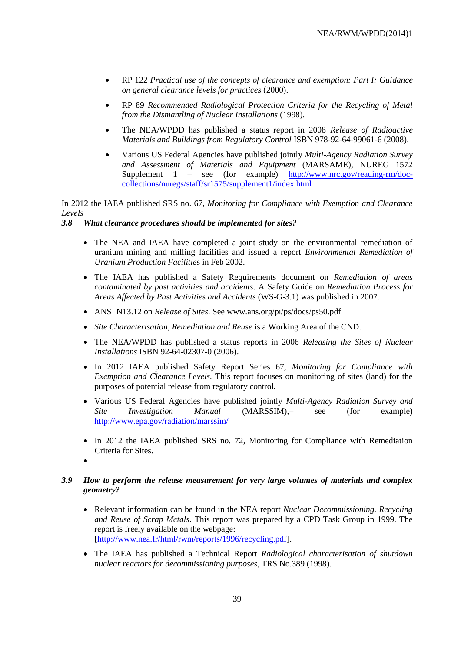- RP 122 *Practical use of the concepts of clearance and exemption: Part I: Guidance on general clearance levels for practices* (2000).
- RP 89 *Recommended Radiological Protection Criteria for the Recycling of Metal from the Dismantling of Nuclear Installations* (1998).
- The NEA/WPDD has published a status report in 2008 *Release of Radioactive Materials and Buildings from Regulatory Control* ISBN 978-92-64-99061-6 (2008).
- Various US Federal Agencies have published jointly *Multi-Agency Radiation Survey and Assessment of Materials and Equipment* (MARSAME), NUREG 1572 Supplement  $1 -$  see (for example) [http://www.nrc.gov/reading-rm/doc](http://www.nrc.gov/reading-rm/doc-collections/nuregs/staff/sr1575/supplement1/index.html)[collections/nuregs/staff/sr1575/supplement1/index.html](http://www.nrc.gov/reading-rm/doc-collections/nuregs/staff/sr1575/supplement1/index.html)

In 2012 the IAEA published SRS no. 67, *Monitoring for Compliance with Exemption and Clearance Levels*

#### *3.8 What clearance procedures should be implemented for sites?*

- The NEA and IAEA have completed a joint study on the environmental remediation of uranium mining and milling facilities and issued a report *Environmental Remediation of Uranium Production Facilitie*s in Feb 2002.
- The IAEA has published a Safety Requirements document on *Remediation of areas contaminated by past activities and accidents*. A Safety Guide on *Remediation Process for Areas Affected by Past Activities and Accidents* (WS-G-3.1) was published in 2007.
- ANSI N13.12 on *Release of Sites*. See www.ans.org/pi/ps/docs/ps50.pdf
- *Site Characterisation, Remediation and Reuse* is a Working Area of the CND.
- The NEA/WPDD has published a status reports in 2006 *Releasing the Sites of Nuclear Installations* ISBN 92-64-02307-0 (2006).
- In 2012 IAEA published Safety Report Series 67, *Monitoring for Compliance with Exemption and Clearance Levels.* This report focuses on monitoring of sites (land) for the purposes of potential release from regulatory control*.*
- Various US Federal Agencies have published jointly *Multi-Agency Radiation Survey and Site Investigation Manual* (MARSSIM),– see (for example) <http://www.epa.gov/radiation/marssim/>
- In 2012 the IAEA published SRS no. 72, Monitoring for Compliance with Remediation Criteria for Sites.
- $\bullet$

#### *3.9 How to perform the release measurement for very large volumes of materials and complex geometry?*

- Relevant information can be found in the NEA report *Nuclear Decommissioning. Recycling and Reuse of Scrap Metals*. This report was prepared by a CPD Task Group in 1999. The report is freely available on the webpage: [\[http://www.nea.fr/html/rwm/reports/1996/recycling.pdf\]](http://www.nea.fr/html/rwm/reports/1996/recycling.pdf).
- The IAEA has published a Technical Report *Radiological characterisation of shutdown nuclear reactors for decommissioning purposes*, TRS No.389 (1998).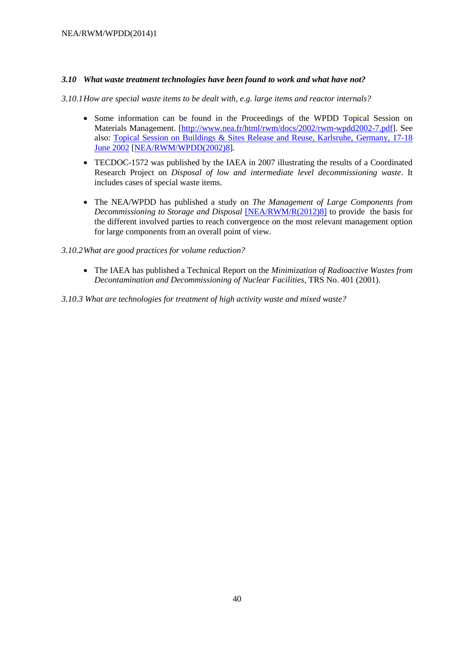## *3.10 What waste treatment technologies have been found to work and what have not?*

*3.10.1How are special waste items to be dealt with, e.g. large items and reactor internals?*

- Some information can be found in the Proceedings of the WPDD Topical Session on Materials Management. [\[http://www.nea.fr/html/rwm/docs/2002/rwm-wpdd2002-7.pdf\]](http://www.nea.fr/html/rwm/docs/2002/rwm-wpdd2002-7.pdf). See also: [Topical Session on Buildings & Sites Release and Reuse, Karlsruhe, Germany, 17-18](file://192.168.102.97/documents/2002/rwm/rwm-wpdd2002-8.pdf)  [June 2002](file://192.168.102.97/documents/2002/rwm/rwm-wpdd2002-8.pdf) [\[NEA/RWM/WPDD\(2002\)8\]](http://www2.oecd.org/oecdinfo/info.aspx?app=OLIScoteEN&Ref=NEA/RWM/WPDD(2002)8)*.*
- TECDOC-1572 was published by the IAEA in 2007 illustrating the results of a Coordinated Research Project on *Disposal of low and intermediate level decommissioning waste*. It includes cases of special waste items.
- The NEA/WPDD has published a study on *The Management of Large Components from Decommissioning to Storage and Disposal* [\[NEA/RWM/R\(2012\)8\]](http://www2.oecd.org/oecdinfo/info.aspx?app=OLIScoteEN&Ref=NEA/RWM/R(2012)8) to provide the basis for the different involved parties to reach convergence on the most relevant management option for large components from an overall point of view.
- *3.10.2What are good practices for volume reduction?*
	- The IAEA has published a Technical Report on the *Minimization of Radioactive Wastes from Decontamination and Decommissioning of Nuclear Facilities*, TRS No. 401 (2001).
- *3.10.3 What are technologies for treatment of high activity waste and mixed waste?*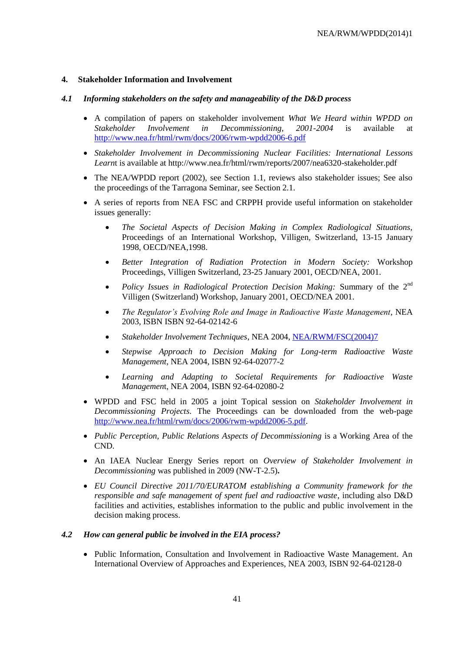#### <span id="page-40-0"></span>**4. Stakeholder Information and Involvement**

#### *4.1 Informing stakeholders on the safety and manageability of the D&D process*

- A compilation of papers on stakeholder involvement *What We Heard within WPDD on Stakeholder Involvement in Decommissioning, 2001-2004* is available at <http://www.nea.fr/html/rwm/docs/2006/rwm-wpdd2006-6.pdf>
- *Stakeholder Involvement in Decommissioning Nuclear Facilities: International Lessons Learn*t is available at http://www.nea.fr/html/rwm/reports/2007/nea6320-stakeholder.pdf
- The NEA/WPDD report (2002), see Section 1.1, reviews also stakeholder issues; See also the proceedings of the Tarragona Seminar, see Section 2.1.
- A series of reports from NEA FSC and CRPPH provide useful information on stakeholder issues generally:
	- *The Societal Aspects of Decision Making in Complex Radiological Situations,* Proceedings of an International Workshop, Villigen, Switzerland, 13-15 January 1998, OECD/NEA,1998.
	- *Better Integration of Radiation Protection in Modern Society:* Workshop Proceedings, Villigen Switzerland, 23-25 January 2001, OECD/NEA, 2001.
	- *Policy Issues in Radiological Protection Decision Making:* Summary of the 2nd Villigen (Switzerland) Workshop, January 2001, OECD/NEA 2001.
	- *The Regulator's Evolving Role and Image in Radioactive Waste Management*, NEA 2003, ISBN ISBN 92-64-02142-6
	- *Stakeholder Involvement Techniques*, NEA 2004[, NEA/RWM/FSC\(2004\)7](http://www2.oecd.org/oecdinfo/info.aspx?app=OLIScoteEN&Ref=NEA/RWM/FSC(2004)7)
	- *Stepwise Approach to Decision Making for Long-term Radioactive Waste Management*, NEA 2004, ISBN 92-64-02077-2
	- *Learning and Adapting to Societal Requirements for Radioactive Waste Managemen*t, NEA 2004, ISBN 92-64-02080-2
- WPDD and FSC held in 2005 a joint Topical session on *Stakeholder Involvement in Decommissioning Projects*. The Proceedings can be downloaded from the web-page [http://www.nea.fr/html/rwm/docs/2006/rwm-wpdd2006-5.pdf.](http://www.nea.fr/html/rwm/docs/2006/rwm-wpdd2006-5.pdf)
- *Public Perception, Public Relations Aspects of Decommissioning* is a Working Area of the CND.
- An IAEA Nuclear Energy Series report on *Overview of Stakeholder Involvement in Decommissioning* was published in 2009 (NW-T-2.5)**.**
- *EU Council Directive 2011/70/EURATOM establishing a Community framework for the responsible and safe management of spent fuel and radioactive waste*, including also D&D facilities and activities, establishes information to the public and public involvement in the decision making process.

#### *4.2 How can general public be involved in the EIA process?*

 Public Information, Consultation and Involvement in Radioactive Waste Management. An International Overview of Approaches and Experiences, NEA 2003, ISBN 92-64-02128-0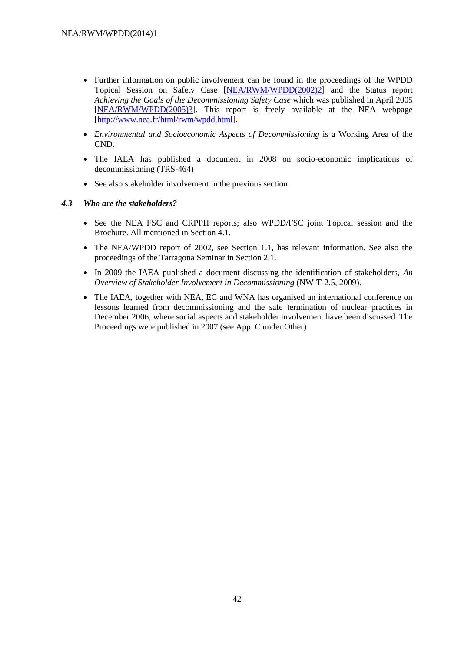- Further information on public involvement can be found in the proceedings of the WPDD Topical Session on Safety Case [\[NEA/RWM/WPDD\(2002\)2\]](http://www2.oecd.org/oecdinfo/info.aspx?app=OLIScoteEN&Ref=NEA/RWM/WPDD(2002)2) and the Status report *Achieving the Goals of the Decommissioning Safety Case* which was published in April 2005 [\[NEA/RWM/WPDD\(2005\)3\]](http://www2.oecd.org/oecdinfo/info.aspx?app=OLIScoteEN&Ref=NEA/RWM/WPDD(2005)3). This report is freely available at the NEA webpage [\[http://www.nea.fr/html/rwm/wpdd.html\]](http://www.nea.fr/html/rwm/wpdd.html).
- *Environmental and Socioeconomic Aspects of Decommissioning* is a Working Area of the CND.
- The IAEA has published a document in 2008 on socio-economic implications of decommissioning (TRS-464)
- See also stakeholder involvement in the previous section.

## *4.3 Who are the stakeholders?*

- See the NEA FSC and CRPPH reports; also WPDD/FSC joint Topical session and the Brochure. All mentioned in Section 4.1.
- The NEA/WPDD report of 2002, see Section 1.1, has relevant information. See also the proceedings of the Tarragona Seminar in Section 2.1.
- In 2009 the IAEA published a document discussing the identification of stakeholders, *An Overview of Stakeholder Involvement in Decommissioning* (NW-T-2.5, 2009).
- The IAEA, together with NEA, EC and WNA has organised an international conference on lessons learned from decommissioning and the safe termination of nuclear practices in December 2006, where social aspects and stakeholder involvement have been discussed. The Proceedings were published in 2007 (see App. C under Other)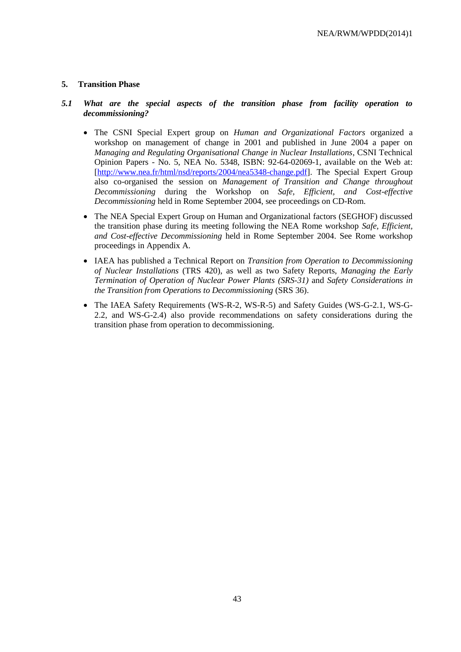## <span id="page-42-0"></span>**5. Transition Phase**

#### *5.1 What are the special aspects of the transition phase from facility operation to decommissioning?*

- The CSNI Special Expert group on *Human and Organizational Factors* organized a workshop on management of change in 2001 and published in June 2004 a paper on *Managing and Regulating Organisational Change in Nuclear Installations*, CSNI Technical Opinion Papers - No. 5, NEA No. 5348, ISBN: 92-64-02069-1, available on the Web at: [\[http://www.nea.fr/html/nsd/reports/2004/nea5348-change.pdf\]](http://home.nea.fr/html/nsd/reports/2004/nea5348-change.pdf). The Special Expert Group also co-organised the session on *Management of Transition and Change throughout Decommissioning* during the Workshop on *Safe, Efficient, and Cost-effective Decommissioning* held in Rome September 2004, see proceedings on CD-Rom.
- The NEA Special Expert Group on Human and Organizational factors (SEGHOF) discussed the transition phase during its meeting following the NEA Rome workshop *Safe, Efficient, and Cost-effective Decommissioning* held in Rome September 2004. See Rome workshop proceedings in Appendix A.
- IAEA has published a Technical Report on *Transition from Operation to Decommissioning of Nuclear Installations* (TRS 420), as well as two Safety Reports, *Managing the Early Termination of Operation of Nuclear Power Plants (SRS-31)* and *Safety Considerations in the Transition from Operations to Decommissioning* (SRS 36).
- The IAEA Safety Requirements (WS-R-2, WS-R-5) and Safety Guides (WS-G-2.1, WS-G-2.2, and WS-G-2.4) also provide recommendations on safety considerations during the transition phase from operation to decommissioning.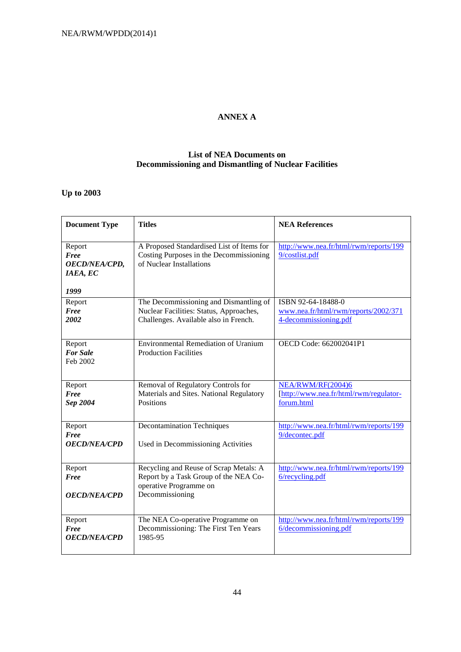# **ANNEX A**

# <span id="page-43-0"></span>**List of NEA Documents on Decommissioning and Dismantling of Nuclear Facilities**

**Up to 2003**

| <b>Document Type</b>                                       | <b>Titles</b>                                                                                                                | <b>NEA References</b>                                                               |
|------------------------------------------------------------|------------------------------------------------------------------------------------------------------------------------------|-------------------------------------------------------------------------------------|
| Report<br><b>Free</b><br>OECD/NEA/CPD,<br>IAEA, EC<br>1999 | A Proposed Standardised List of Items for<br>Costing Purposes in the Decommissioning<br>of Nuclear Installations             | http://www.nea.fr/html/rwm/reports/199<br>9/costlist.pdf                            |
| Report<br><b>Free</b><br>2002                              | The Decommissioning and Dismantling of<br>Nuclear Facilities: Status, Approaches,<br>Challenges. Available also in French.   | ISBN 92-64-18488-0<br>www.nea.fr/html/rwm/reports/2002/371<br>4-decommissioning.pdf |
| Report<br><b>For Sale</b><br>Feb 2002                      | <b>Environmental Remediation of Uranium</b><br><b>Production Facilities</b>                                                  | OECD Code: 662002041P1                                                              |
| Report<br><b>Free</b><br>Sep 2004                          | Removal of Regulatory Controls for<br>Materials and Sites. National Regulatory<br>Positions                                  | <b>NEA/RWM/RF(2004)6</b><br>[http://www.nea.fr/html/rwm/regulator-<br>forum.html    |
| Report<br><b>Free</b><br><b>OECD/NEA/CPD</b>               | <b>Decontamination Techniques</b><br>Used in Decommissioning Activities                                                      | http://www.nea.fr/html/rwm/reports/199<br>9/decontec.pdf                            |
| Report<br><b>Free</b><br><b>OECD/NEA/CPD</b>               | Recycling and Reuse of Scrap Metals: A<br>Report by a Task Group of the NEA Co-<br>operative Programme on<br>Decommissioning | http://www.nea.fr/html/rwm/reports/199<br>$6$ /recycling.pdf                        |
| Report<br><b>Free</b><br><b>OECD/NEA/CPD</b>               | The NEA Co-operative Programme on<br>Decommissioning: The First Ten Years<br>1985-95                                         | http://www.nea.fr/html/rwm/reports/199<br>6/decommissioning.pdf                     |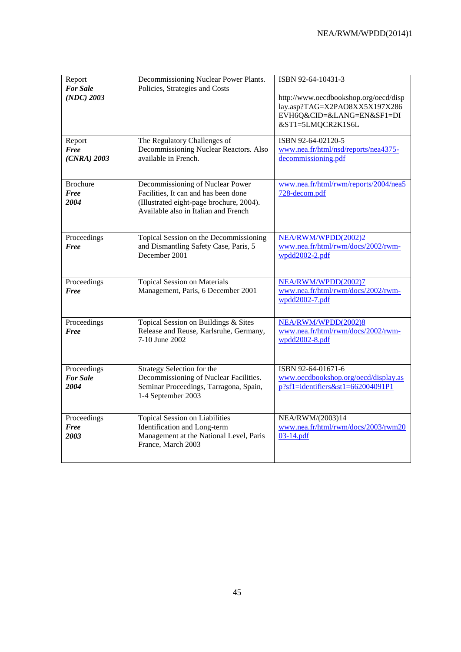| Report<br><b>For Sale</b><br>(NDC) 2003 | Decommissioning Nuclear Power Plants.<br>Policies, Strategies and Costs                                                                                      | ISBN 92-64-10431-3<br>http://www.oecdbookshop.org/oecd/disp<br>lay.asp?TAG=X2PAO8XX5X197X286<br>EVH6Q&CID=&LANG=EN&SF1=DI<br>&ST1=5LMQCR2K1S6L |
|-----------------------------------------|--------------------------------------------------------------------------------------------------------------------------------------------------------------|------------------------------------------------------------------------------------------------------------------------------------------------|
| Report<br><b>Free</b><br>$(CNRA)$ 2003  | The Regulatory Challenges of<br>Decommissioning Nuclear Reactors. Also<br>available in French.                                                               | ISBN 92-64-02120-5<br>www.nea.fr/html/nsd/reports/nea4375-<br>decommissioning.pdf                                                              |
| <b>Brochure</b><br><b>Free</b><br>2004  | Decommissioning of Nuclear Power<br>Facilities, It can and has been done<br>(Illustrated eight-page brochure, 2004).<br>Available also in Italian and French | www.nea.fr/html/rwm/reports/2004/nea5<br>728-decom.pdf                                                                                         |
| Proceedings<br><b>Free</b>              | Topical Session on the Decommissioning<br>and Dismantling Safety Case, Paris, 5<br>December 2001                                                             | NEA/RWM/WPDD(2002)2<br>www.nea.fr/html/rwm/docs/2002/rwm-<br>wpdd2002-2.pdf                                                                    |
| Proceedings<br><b>Free</b>              | <b>Topical Session on Materials</b><br>Management, Paris, 6 December 2001                                                                                    | NEA/RWM/WPDD(2002)7<br>www.nea.fr/html/rwm/docs/2002/rwm-<br>wpdd2002-7.pdf                                                                    |
| Proceedings<br><b>Free</b>              | Topical Session on Buildings & Sites<br>Release and Reuse, Karlsruhe, Germany,<br>7-10 June 2002                                                             | NEA/RWM/WPDD(2002)8<br>www.nea.fr/html/rwm/docs/2002/rwm-<br>$wydd2002-8.pdf$                                                                  |
| Proceedings<br><b>For Sale</b><br>2004  | Strategy Selection for the<br>Decommissioning of Nuclear Facilities.<br>Seminar Proceedings, Tarragona, Spain,<br>1-4 September 2003                         | ISBN 92-64-01671-6<br>www.oecdbookshop.org/oecd/display.as<br>$p?sfl = identifiers&st1=662004091P1$                                            |
| Proceedings<br><b>Free</b><br>2003      | <b>Topical Session on Liabilities</b><br>Identification and Long-term<br>Management at the National Level, Paris<br>France, March 2003                       | NEA/RWM/(2003)14<br>www.nea.fr/html/rwm/docs/2003/rwm20<br>03-14.pdf                                                                           |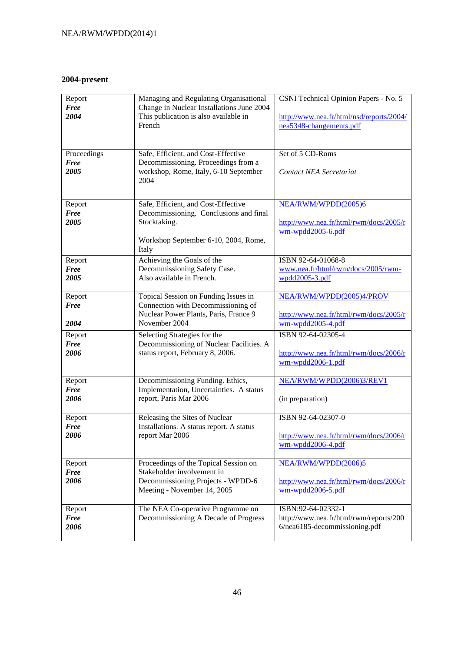# **2004-present**

| Report<br><b>Free</b><br>2004      | Managing and Regulating Organisational<br>Change in Nuclear Installations June 2004<br>This publication is also available in<br>French         | CSNI Technical Opinion Papers - No. 5<br>http://www.nea.fr/html/nsd/reports/2004/<br>nea5348-changements.pdf |
|------------------------------------|------------------------------------------------------------------------------------------------------------------------------------------------|--------------------------------------------------------------------------------------------------------------|
| Proceedings<br><b>Free</b><br>2005 | Safe, Efficient, and Cost-Effective<br>Decommissioning. Proceedings from a<br>workshop, Rome, Italy, 6-10 September<br>2004                    | Set of 5 CD-Roms<br>Contact NEA Secretariat                                                                  |
| Report<br><b>Free</b><br>2005      | Safe, Efficient, and Cost-Effective<br>Decommissioning. Conclusions and final<br>Stocktaking.<br>Workshop September 6-10, 2004, Rome,<br>Italy | NEA/RWM/WPDD(2005)6<br>http://www.nea.fr/html/rwm/docs/2005/r<br>wm-wpdd2005-6.pdf                           |
| Report<br><b>Free</b><br>2005      | Achieving the Goals of the<br>Decommissioning Safety Case.<br>Also available in French.                                                        | ISBN 92-64-01068-8<br>www.nea.fr/html/rwm/docs/2005/rwm-<br>$wydd2005-3.pdf$                                 |
| Report<br><b>Free</b><br>2004      | Topical Session on Funding Issues in<br>Connection with Decommissioning of<br>Nuclear Power Plants, Paris, France 9<br>November 2004           | NEA/RWM/WPDD(2005)4/PROV<br>http://www.nea.fr/html/rwm/docs/2005/r<br>wm-wpdd2005-4.pdf                      |
| Report<br><b>Free</b><br>2006      | Selecting Strategies for the<br>Decommissioning of Nuclear Facilities. A<br>status report, February 8, 2006.                                   | ISBN 92-64-02305-4<br>http://www.nea.fr/html/rwm/docs/2006/r<br>wm-wpdd2006-1.pdf                            |
| Report<br><b>Free</b><br>2006      | Decommissioning Funding. Ethics,<br>Implementation, Uncertainties. A status<br>report, Paris Mar 2006                                          | NEA/RWM/WPDD(2006)3/REV1<br>(in preparation)                                                                 |
| Report<br><b>Free</b><br>2006      | Releasing the Sites of Nuclear<br>Installations. A status report. A status<br>report Mar 2006                                                  | ISBN 92-64-02307-0<br>http://www.nea.fr/html/rwm/docs/2006/r<br>wm-wpdd2006-4.pdf                            |
| Report<br><b>Free</b><br>2006      | Proceedings of the Topical Session on<br>Stakeholder involvement in<br>Decommissioning Projects - WPDD-6<br>Meeting - November 14, 2005        | NEA/RWM/WPDD(2006)5<br>http://www.nea.fr/html/rwm/docs/2006/r<br>wm-wpdd2006-5.pdf                           |
| Report<br><b>Free</b><br>2006      | The NEA Co-operative Programme on<br>Decommissioning A Decade of Progress                                                                      | ISBN:92-64-02332-1<br>http://www.nea.fr/html/rwm/reports/200<br>6/nea6185-decommissioning.pdf                |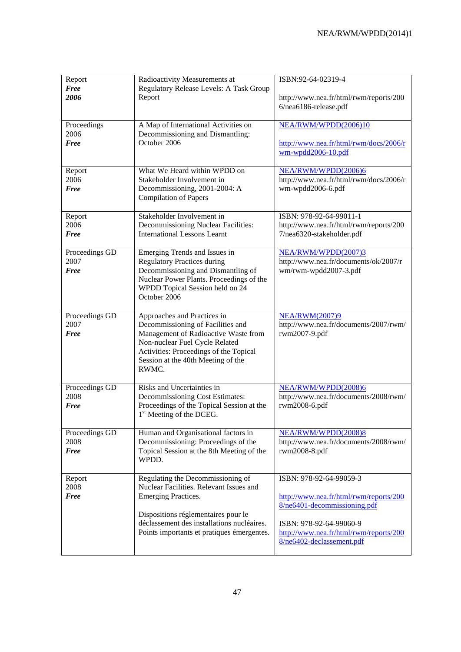| Report<br><b>Free</b><br>2006         | Radioactivity Measurements at<br>Regulatory Release Levels: A Task Group<br>Report                                                                                                                                                     | ISBN:92-64-02319-4<br>http://www.nea.fr/html/rwm/reports/200<br>6/nea6186-release.pdf                                                                                                               |
|---------------------------------------|----------------------------------------------------------------------------------------------------------------------------------------------------------------------------------------------------------------------------------------|-----------------------------------------------------------------------------------------------------------------------------------------------------------------------------------------------------|
| Proceedings<br>2006<br><b>Free</b>    | A Map of International Activities on<br>Decommissioning and Dismantling:<br>October 2006                                                                                                                                               | NEA/RWM/WPDD(2006)10<br>http://www.nea.fr/html/rwm/docs/2006/r<br>wm-wpdd2006-10.pdf                                                                                                                |
| Report<br>2006<br><b>Free</b>         | What We Heard within WPDD on<br>Stakeholder Involvement in<br>Decommissioning, 2001-2004: A<br><b>Compilation of Papers</b>                                                                                                            | NEA/RWM/WPDD(2006)6<br>http://www.nea.fr/html/rwm/docs/2006/r<br>wm-wpdd2006-6.pdf                                                                                                                  |
| Report<br>2006<br><b>Free</b>         | Stakeholder Involvement in<br>Decommissioning Nuclear Facilities:<br><b>International Lessons Learnt</b>                                                                                                                               | ISBN: 978-92-64-99011-1<br>http://www.nea.fr/html/rwm/reports/200<br>7/nea6320-stakeholder.pdf                                                                                                      |
| Proceedings GD<br>2007<br><b>Free</b> | Emerging Trends and Issues in<br><b>Regulatory Practices during</b><br>Decommissioning and Dismantling of<br>Nuclear Power Plants. Proceedings of the<br>WPDD Topical Session held on 24<br>October 2006                               | NEA/RWM/WPDD(2007)3<br>http://www.nea.fr/documents/ok/2007/r<br>wm/rwm-wpdd2007-3.pdf                                                                                                               |
| Proceedings GD<br>2007<br><b>Free</b> | Approaches and Practices in<br>Decommissioning of Facilities and<br>Management of Radioactive Waste from<br>Non-nuclear Fuel Cycle Related<br>Activities: Proceedings of the Topical<br>Session at the 40th Meeting of the<br>RWMC.    | <b>NEA/RWM(2007)9</b><br>http://www.nea.fr/documents/2007/rwm/<br>rwm2007-9.pdf                                                                                                                     |
| Proceedings GD<br>2008<br><b>Free</b> | Risks and Uncertainties in<br>Decommissioning Cost Estimates:<br>Proceedings of the Topical Session at the<br>1 <sup>st</sup> Meeting of the DCEG.                                                                                     | NEA/RWM/WPDD(2008)6<br>http://www.nea.fr/documents/2008/rwm/<br>rwm2008-6.pdf                                                                                                                       |
| Proceedings GD<br>2008<br><b>Free</b> | Human and Organisational factors in<br>Decommissioning: Proceedings of the<br>Topical Session at the 8th Meeting of the<br>WPDD.                                                                                                       | NEA/RWM/WPDD(2008)8<br>http://www.nea.fr/documents/2008/rwm/<br>rwm2008-8.pdf                                                                                                                       |
| Report<br>2008<br><b>Free</b>         | Regulating the Decommissioning of<br>Nuclear Facilities. Relevant Issues and<br>Emerging Practices.<br>Dispositions réglementaires pour le<br>déclassement des installations nucléaires.<br>Points importants et pratiques émergentes. | ISBN: 978-92-64-99059-3<br>http://www.nea.fr/html/rwm/reports/200<br>8/ne6401-decommissioning.pdf<br>ISBN: 978-92-64-99060-9<br>http://www.nea.fr/html/rwm/reports/200<br>8/ne6402-declassement.pdf |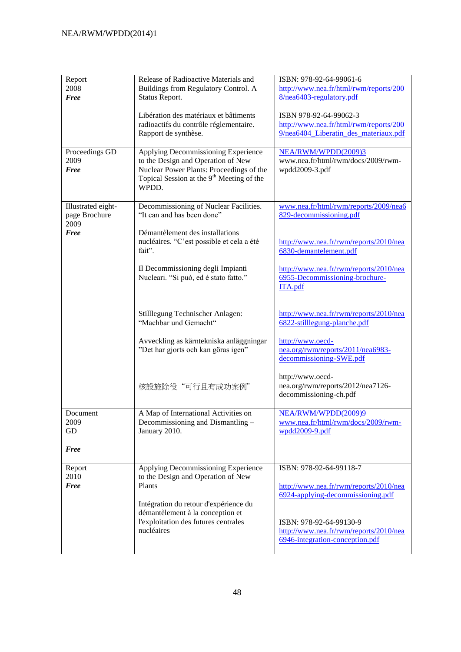| Report             | Release of Radioactive Materials and                  | ISBN: 978-92-64-99061-6                |
|--------------------|-------------------------------------------------------|----------------------------------------|
| 2008               | Buildings from Regulatory Control. A                  | http://www.nea.fr/html/rwm/reports/200 |
| <b>Free</b>        | Status Report.                                        | 8/nea6403-regulatory.pdf               |
|                    |                                                       |                                        |
|                    | Libération des matériaux et bâtiments                 | ISBN 978-92-64-99062-3                 |
|                    | radioactifs du contrôle réglementaire.                | http://www.nea.fr/html/rwm/reports/200 |
|                    | Rapport de synthèse.                                  | 9/nea6404_Liberatin_des_materiaux.pdf  |
|                    |                                                       |                                        |
| Proceedings GD     |                                                       | NEA/RWM/WPDD(2009)3                    |
|                    | Applying Decommissioning Experience                   | www.nea.fr/html/rwm/docs/2009/rwm-     |
| 2009               | to the Design and Operation of New                    |                                        |
| <b>Free</b>        | Nuclear Power Plants: Proceedings of the              | wpdd2009-3.pdf                         |
|                    | Topical Session at the 9 <sup>th</sup> Meeting of the |                                        |
|                    | WPDD.                                                 |                                        |
|                    |                                                       |                                        |
| Illustrated eight- | Decommissioning of Nuclear Facilities.                | www.nea.fr/html/rwm/reports/2009/nea6  |
| page Brochure      | "It can and has been done"                            | 829-decommissioning.pdf                |
| 2009               |                                                       |                                        |
| <b>Free</b>        | Démantèlement des installations                       |                                        |
|                    | nucléaires. "C'est possible et cela a été             | http://www.nea.fr/rwm/reports/2010/nea |
|                    | fait".                                                | 6830-demantelement.pdf                 |
|                    |                                                       |                                        |
|                    | Il Decommissioning degli Impianti                     | http://www.nea.fr/rwm/reports/2010/nea |
|                    | Nucleari. "Si può, ed é stato fatto."                 | 6955-Decommissioning-brochure-         |
|                    |                                                       | ITA.pdf                                |
|                    |                                                       |                                        |
|                    |                                                       |                                        |
|                    | Stilllegung Technischer Anlagen:                      | http://www.nea.fr/rwm/reports/2010/nea |
|                    | "Machbar und Gemacht"                                 | 6822-stilllegung-planche.pdf           |
|                    |                                                       |                                        |
|                    | Avveckling as kärntekniska anläggningar               | http://www.oecd-                       |
|                    | "Det har gjorts och kan göras igen"                   | nea.org/rwm/reports/2011/nea6983-      |
|                    |                                                       | decommissioning-SWE.pdf                |
|                    |                                                       |                                        |
|                    |                                                       | http://www.oecd-                       |
|                    | 核設施除役"可行且有成功案例"                                       | nea.org/rwm/reports/2012/nea7126-      |
|                    |                                                       | decommissioning-ch.pdf                 |
|                    |                                                       |                                        |
| Document           | A Map of International Activities on                  | NEA/RWM/WPDD(2009)9                    |
| 2009               | Decommissioning and Dismantling -                     | www.nea.fr/html/rwm/docs/2009/rwm-     |
|                    |                                                       |                                        |
| GD                 | January 2010.                                         | $wpdd2009-9.pdf$                       |
| <b>Free</b>        |                                                       |                                        |
|                    |                                                       |                                        |
| Report             | Applying Decommissioning Experience                   | ISBN: 978-92-64-99118-7                |
| 2010               | to the Design and Operation of New                    |                                        |
| <b>Free</b>        | Plants                                                | http://www.nea.fr/rwm/reports/2010/nea |
|                    |                                                       | 6924-applying-decommissioning.pdf      |
|                    |                                                       |                                        |
|                    | Intégration du retour d'expérience du                 |                                        |
|                    | démantèlement à la conception et                      |                                        |
|                    | l'exploitation des futures centrales                  | ISBN: 978-92-64-99130-9                |
|                    | nucléaires                                            | http://www.nea.fr/rwm/reports/2010/nea |
|                    |                                                       | 6946-integration-conception.pdf        |
|                    |                                                       |                                        |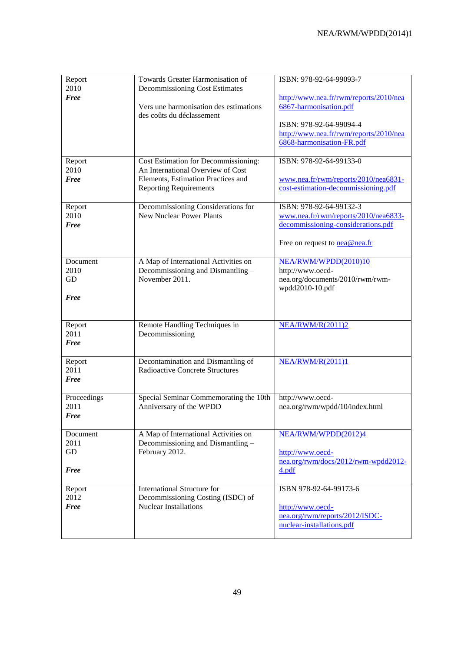| Report              | Towards Greater Harmonisation of                                        | ISBN: 978-92-64-99093-7                                                     |
|---------------------|-------------------------------------------------------------------------|-----------------------------------------------------------------------------|
| 2010                | <b>Decommissioning Cost Estimates</b>                                   |                                                                             |
| <b>Free</b>         | Vers une harmonisation des estimations<br>des coûts du déclassement     | http://www.nea.fr/rwm/reports/2010/nea<br>6867-harmonisation.pdf            |
|                     |                                                                         | ISBN: 978-92-64-99094-4                                                     |
|                     |                                                                         | http://www.nea.fr/rwm/reports/2010/nea                                      |
|                     |                                                                         | 6868-harmonisation-FR.pdf                                                   |
| Report              | Cost Estimation for Decommissioning:                                    | ISBN: 978-92-64-99133-0                                                     |
| 2010<br><b>Free</b> | An International Overview of Cost<br>Elements, Estimation Practices and |                                                                             |
|                     | <b>Reporting Requirements</b>                                           | www.nea.fr/rwm/reports/2010/nea6831-<br>cost-estimation-decommissioning.pdf |
|                     |                                                                         |                                                                             |
| Report              | Decommissioning Considerations for                                      | ISBN: 978-92-64-99132-3                                                     |
| 2010                | <b>New Nuclear Power Plants</b>                                         | www.nea.fr/rwm/reports/2010/nea6833-                                        |
| <b>Free</b>         |                                                                         | decommissioning-considerations.pdf                                          |
|                     |                                                                         | Free on request to <b>nea@nea.fr</b>                                        |
| Document            | A Map of International Activities on                                    | NEA/RWM/WPDD(2010)10                                                        |
| 2010                | Decommissioning and Dismantling -                                       | http://www.oecd-                                                            |
| GD                  | November 2011.                                                          | nea.org/documents/2010/rwm/rwm-                                             |
| <b>Free</b>         |                                                                         | wpdd2010-10.pdf                                                             |
|                     |                                                                         |                                                                             |
| Report              | Remote Handling Techniques in                                           | <b>NEA/RWM/R(2011)2</b>                                                     |
| 2011                | Decommissioning                                                         |                                                                             |
| <b>Free</b>         |                                                                         |                                                                             |
| Report              | Decontamination and Dismantling of                                      | <b>NEA/RWM/R(2011)1</b>                                                     |
| 2011                | <b>Radioactive Concrete Structures</b>                                  |                                                                             |
| <b>Free</b>         |                                                                         |                                                                             |
| Proceedings         | Special Seminar Commemorating the 10th                                  | http://www.oecd-                                                            |
| 2011                | Anniversary of the WPDD                                                 | nea.org/rwm/wpdd/10/index.html                                              |
| <b>Free</b>         |                                                                         |                                                                             |
| Document            | A Map of International Activities on                                    | NEA/RWM/WPDD(2012)4                                                         |
| 2011                | Decommissioning and Dismantling -                                       |                                                                             |
| GD                  | February 2012.                                                          | http://www.oecd-                                                            |
|                     |                                                                         | nea.org/rwm/docs/2012/rwm-wpdd2012-                                         |
| <b>Free</b>         |                                                                         | 4.pdf                                                                       |
| Report              | <b>International Structure for</b>                                      | ISBN 978-92-64-99173-6                                                      |
| 2012                | Decommissioning Costing (ISDC) of                                       |                                                                             |
| <b>Free</b>         | <b>Nuclear Installations</b>                                            | http://www.oecd-                                                            |
|                     |                                                                         | nea.org/rwm/reports/2012/ISDC-<br>nuclear-installations.pdf                 |
|                     |                                                                         |                                                                             |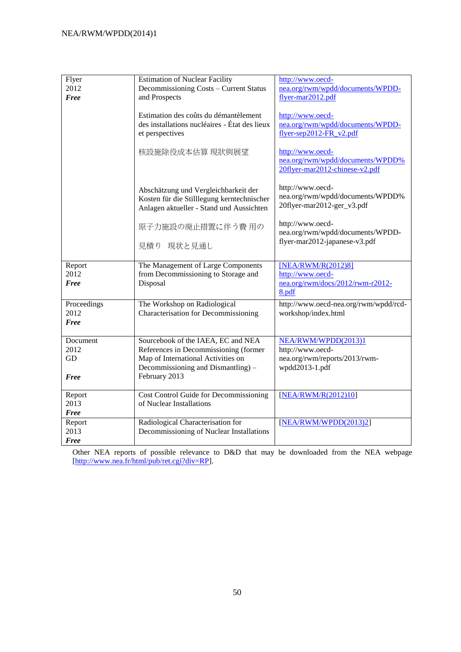| Flyer<br>2012                      | <b>Estimation of Nuclear Facility</b><br>Decommissioning Costs - Current Status                                                                                          | http://www.oecd-<br>nea.org/rwm/wpdd/documents/WPDD-                                                   |
|------------------------------------|--------------------------------------------------------------------------------------------------------------------------------------------------------------------------|--------------------------------------------------------------------------------------------------------|
| <b>Free</b>                        | and Prospects<br>Estimation des coûts du démantèlement<br>des installations nucléaires - État des lieux<br>et perspectives                                               | flyer-mar2012.pdf<br>http://www.oecd-<br>nea.org/rwm/wpdd/documents/WPDD-<br>$flyer-sep2012-FR_v2.pdf$ |
|                                    | 核設施除役成本估算 現狀與展望                                                                                                                                                          | http://www.oecd-<br>nea.org/rwm/wpdd/documents/WPDD%<br>20flyer-mar2012-chinese-v2.pdf                 |
|                                    | Abschätzung und Vergleichbarkeit der<br>Kosten für die Stilllegung kerntechnischer<br>Anlagen aktueller - Stand und Aussichten                                           | http://www.oecd-<br>nea.org/rwm/wpdd/documents/WPDD%<br>20flyer-mar2012-ger_v3.pdf                     |
|                                    | 原子力施設の廃止措置に伴う費 用の<br>現状と見通し<br>見積り                                                                                                                                       | http://www.oecd-<br>nea.org/rwm/wpdd/documents/WPDD-<br>flyer-mar2012-japanese-v3.pdf                  |
| Report<br>2012<br><b>Free</b>      | The Management of Large Components<br>from Decommissioning to Storage and<br>Disposal                                                                                    | $[NEA/RWM/R(2012)8]$<br>http://www.oecd-<br>nea.org/rwm/docs/2012/rwm-r2012-<br>8.pdf                  |
| Proceedings<br>2012<br><b>Free</b> | The Workshop on Radiological<br>Characterisation for Decommissioning                                                                                                     | http://www.oecd-nea.org/rwm/wpdd/rcd-<br>workshop/index.html                                           |
| Document<br>2012<br>GD<br>Free     | Sourcebook of the IAEA, EC and NEA<br>References in Decommissioning (former<br>Map of International Activities on<br>Decommissioning and Dismantling) –<br>February 2013 | NEA/RWM/WPDD(2013)1<br>http://www.oecd-<br>nea.org/rwm/reports/2013/rwm-<br>wpdd2013-1.pdf             |
| Report<br>2013<br><b>Free</b>      | Cost Control Guide for Decommissioning<br>of Nuclear Installations                                                                                                       | [NEA/RWM/R(2012)10]                                                                                    |
| Report<br>2013<br><b>Free</b>      | Radiological Characterisation for<br>Decommissioning of Nuclear Installations                                                                                            | [NEA/RWM/WPDD(2013)2]                                                                                  |

Other NEA reports of possible relevance to D&D that may be downloaded from the NEA webpage [\[http://www.nea.fr/html/pub/ret.cgi?div=RP\]](http://www.nea.fr/html/pub/ret.cgi?div=RP).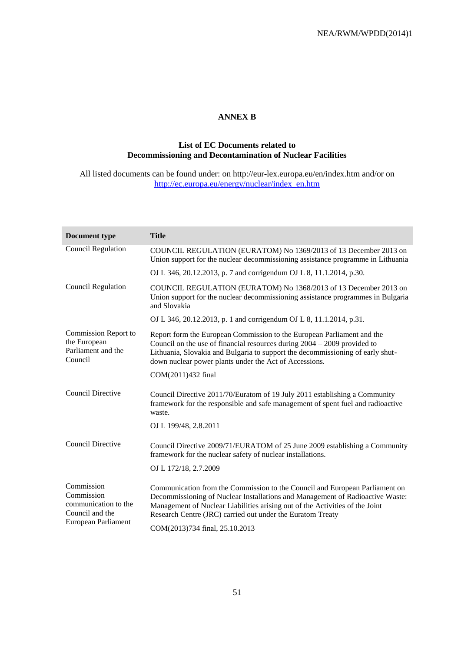# <span id="page-50-0"></span>**ANNEX B**

## **List of EC Documents related to Decommissioning and Decontamination of Nuclear Facilities**

All listed documents can be found under: on http://eur-lex.europa.eu/en/index.htm and/or on [http://ec.europa.eu/energy/nuclear/index\\_en.htm](http://ec.europa.eu/energy/nuclear/index_en.htm)

| <b>Document type</b>                                                                       | <b>Title</b>                                                                                                                                                                                                                                                                                                                                 |
|--------------------------------------------------------------------------------------------|----------------------------------------------------------------------------------------------------------------------------------------------------------------------------------------------------------------------------------------------------------------------------------------------------------------------------------------------|
| Council Regulation                                                                         | COUNCIL REGULATION (EURATOM) No 1369/2013 of 13 December 2013 on<br>Union support for the nuclear decommissioning assistance programme in Lithuania                                                                                                                                                                                          |
|                                                                                            | OJ L 346, 20.12.2013, p. 7 and corrigendum OJ L 8, 11.1.2014, p.30.                                                                                                                                                                                                                                                                          |
| <b>Council Regulation</b>                                                                  | COUNCIL REGULATION (EURATOM) No 1368/2013 of 13 December 2013 on<br>Union support for the nuclear decommissioning assistance programmes in Bulgaria<br>and Slovakia                                                                                                                                                                          |
|                                                                                            | OJ L 346, 20.12.2013, p. 1 and corrigendum OJ L 8, 11.1.2014, p.31.                                                                                                                                                                                                                                                                          |
| Commission Report to<br>the European<br>Parliament and the<br>Council                      | Report form the European Commission to the European Parliament and the<br>Council on the use of financial resources during $2004 - 2009$ provided to<br>Lithuania, Slovakia and Bulgaria to support the decommissioning of early shut-<br>down nuclear power plants under the Act of Accessions.                                             |
|                                                                                            | COM(2011)432 final                                                                                                                                                                                                                                                                                                                           |
| <b>Council Directive</b>                                                                   | Council Directive 2011/70/Euratom of 19 July 2011 establishing a Community<br>framework for the responsible and safe management of spent fuel and radioactive<br>waste.                                                                                                                                                                      |
|                                                                                            | OJ L 199/48, 2.8.2011                                                                                                                                                                                                                                                                                                                        |
| <b>Council Directive</b>                                                                   | Council Directive 2009/71/EURATOM of 25 June 2009 establishing a Community<br>framework for the nuclear safety of nuclear installations.                                                                                                                                                                                                     |
|                                                                                            | OJ L 172/18, 2.7.2009                                                                                                                                                                                                                                                                                                                        |
| Commission<br>Commission<br>communication to the<br>Council and the<br>European Parliament | Communication from the Commission to the Council and European Parliament on<br>Decommissioning of Nuclear Installations and Management of Radioactive Waste:<br>Management of Nuclear Liabilities arising out of the Activities of the Joint<br>Research Centre (JRC) carried out under the Euratom Treaty<br>COM(2013)734 final, 25.10.2013 |
|                                                                                            |                                                                                                                                                                                                                                                                                                                                              |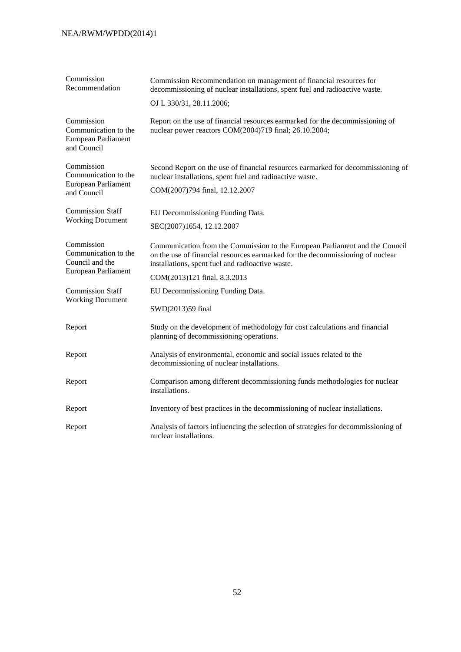## NEA/RWM/WPDD(2014)1

| Commission<br>Recommendation                                             | Commission Recommendation on management of financial resources for<br>decommissioning of nuclear installations, spent fuel and radioactive waste.                                                                  |
|--------------------------------------------------------------------------|--------------------------------------------------------------------------------------------------------------------------------------------------------------------------------------------------------------------|
|                                                                          | OJ L 330/31, 28.11.2006;                                                                                                                                                                                           |
| Commission<br>Communication to the<br>European Parliament<br>and Council | Report on the use of financial resources earmarked for the decommissioning of<br>nuclear power reactors COM(2004)719 final; 26.10.2004;                                                                            |
| Commission<br>Communication to the                                       | Second Report on the use of financial resources earmarked for decommissioning of<br>nuclear installations, spent fuel and radioactive waste.                                                                       |
| European Parliament<br>and Council                                       | COM(2007)794 final, 12.12.2007                                                                                                                                                                                     |
| <b>Commission Staff</b>                                                  | EU Decommissioning Funding Data.                                                                                                                                                                                   |
| <b>Working Document</b>                                                  | SEC(2007)1654, 12.12.2007                                                                                                                                                                                          |
| Commission<br>Communication to the<br>Council and the                    | Communication from the Commission to the European Parliament and the Council<br>on the use of financial resources earmarked for the decommissioning of nuclear<br>installations, spent fuel and radioactive waste. |
| European Parliament                                                      | COM(2013)121 final, 8.3.2013                                                                                                                                                                                       |
| <b>Commission Staff</b><br><b>Working Document</b>                       | EU Decommissioning Funding Data.                                                                                                                                                                                   |
|                                                                          | SWD(2013)59 final                                                                                                                                                                                                  |
| Report                                                                   | Study on the development of methodology for cost calculations and financial<br>planning of decommissioning operations.                                                                                             |
| Report                                                                   | Analysis of environmental, economic and social issues related to the<br>decommissioning of nuclear installations.                                                                                                  |
| Report                                                                   | Comparison among different decommissioning funds methodologies for nuclear<br>installations.                                                                                                                       |
| Report                                                                   | Inventory of best practices in the decommissioning of nuclear installations.                                                                                                                                       |
| Report                                                                   | Analysis of factors influencing the selection of strategies for decommissioning of<br>nuclear installations.                                                                                                       |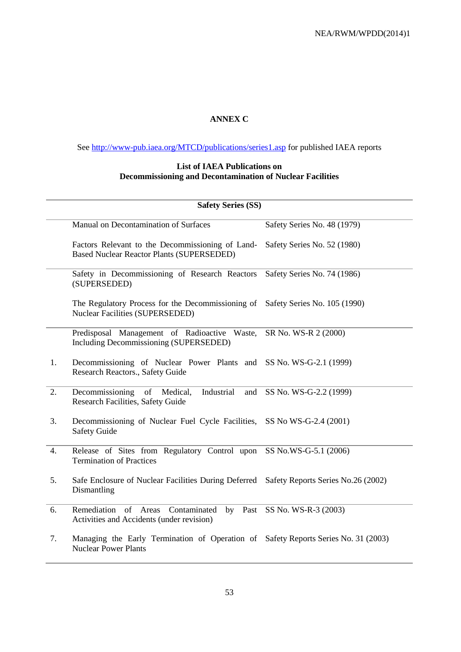## <span id="page-52-0"></span>**ANNEX C**

See<http://www-pub.iaea.org/MTCD/publications/series1.asp> for published IAEA reports

# **List of IAEA Publications on Decommissioning and Decontamination of Nuclear Facilities**

| <b>Safety Series (SS)</b> |                                                                                                                   |                              |
|---------------------------|-------------------------------------------------------------------------------------------------------------------|------------------------------|
|                           | Manual on Decontamination of Surfaces                                                                             | Safety Series No. 48 (1979)  |
|                           | Factors Relevant to the Decommissioning of Land-<br><b>Based Nuclear Reactor Plants (SUPERSEDED)</b>              | Safety Series No. 52 (1980)  |
|                           | Safety in Decommissioning of Research Reactors<br>(SUPERSEDED)                                                    | Safety Series No. 74 (1986)  |
|                           | The Regulatory Process for the Decommissioning of<br>Nuclear Facilities (SUPERSEDED)                              | Safety Series No. 105 (1990) |
|                           | Predisposal Management of Radioactive Waste,<br>Including Decommissioning (SUPERSEDED)                            | SR No. WS-R 2 (2000)         |
| 1.                        | Decommissioning of Nuclear Power Plants and SS No. WS-G-2.1 (1999)<br>Research Reactors., Safety Guide            |                              |
| 2.                        | Decommissioning<br>of<br>Industrial<br>Medical,<br>and<br>Research Facilities, Safety Guide                       | SS No. WS-G-2.2 (1999)       |
| 3.                        | Decommissioning of Nuclear Fuel Cycle Facilities,<br><b>Safety Guide</b>                                          | SS No WS-G-2.4 (2001)        |
| 4.                        | Release of Sites from Regulatory Control upon<br><b>Termination of Practices</b>                                  | SS No.WS-G-5.1 (2006)        |
| 5.                        | Safe Enclosure of Nuclear Facilities During Deferred Safety Reports Series No.26 (2002)<br>Dismantling            |                              |
| 6.                        | of Areas<br>Contaminated<br>Remediation<br>by Past<br>Activities and Accidents (under revision)                   | SS No. WS-R-3 (2003)         |
| 7.                        | Managing the Early Termination of Operation of Safety Reports Series No. 31 (2003)<br><b>Nuclear Power Plants</b> |                              |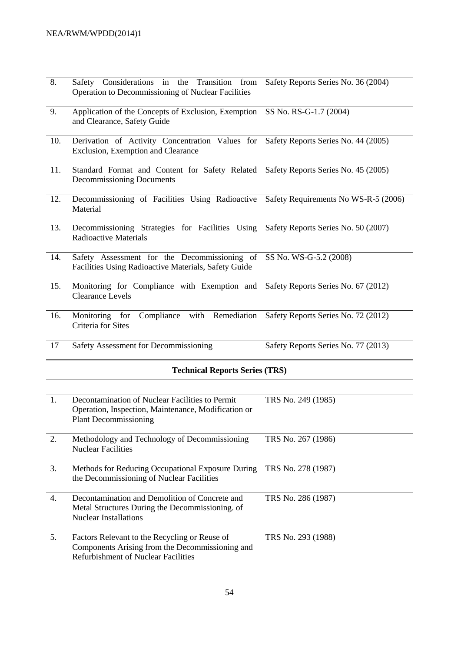- 8. Safety Considerations in the Transition from Safety Reports Series No. 36 (2004) Operation to Decommissioning of Nuclear Facilities
- 9. Application of the Concepts of Exclusion, Exemption SS No. RS-G-1.7 (2004) and Clearance, Safety Guide
- 10. Derivation of Activity Concentration Values for Exclusion, Exemption and Clearance Safety Reports Series No. 44 (2005)
- 11. Standard Format and Content for Safety Related Safety Reports Series No. 45 (2005) Decommissioning Documents
- 12. Decommissioning of Facilities Using Radioactive Material Safety Requirements No WS-R-5 (2006)
- 13. Decommissioning Strategies for Facilities Using Safety Reports Series No. 50 (2007) Radioactive Materials
- 14. Safety Assessment for the Decommissioning of Facilities Using Radioactive Materials, Safety Guide SS No. WS-G-5.2 (2008)
- 15. Monitoring for Compliance with Exemption and Safety Reports Series No. 67 (2012) Clearance Levels
- 16. Monitoring for Compliance with Remediation Criteria for Sites Safety Reports Series No. 72 (2012)
- 17 Safety Assessment for Decommissioning Safety Reports Series No. 77 (2013)

## **Technical Reports Series (TRS)**

| 1. | Decontamination of Nuclear Facilities to Permit<br>Operation, Inspection, Maintenance, Modification or<br><b>Plant Decommissioning</b>         | TRS No. 249 (1985) |
|----|------------------------------------------------------------------------------------------------------------------------------------------------|--------------------|
| 2. | Methodology and Technology of Decommissioning<br><b>Nuclear Facilities</b>                                                                     | TRS No. 267 (1986) |
| 3. | Methods for Reducing Occupational Exposure During<br>the Decommissioning of Nuclear Facilities                                                 | TRS No. 278 (1987) |
| 4. | Decontamination and Demolition of Concrete and<br>Metal Structures During the Decommissioning. of<br><b>Nuclear Installations</b>              | TRS No. 286 (1987) |
| 5. | Factors Relevant to the Recycling or Reuse of<br>Components Arising from the Decommissioning and<br><b>Refurbishment of Nuclear Facilities</b> | TRS No. 293 (1988) |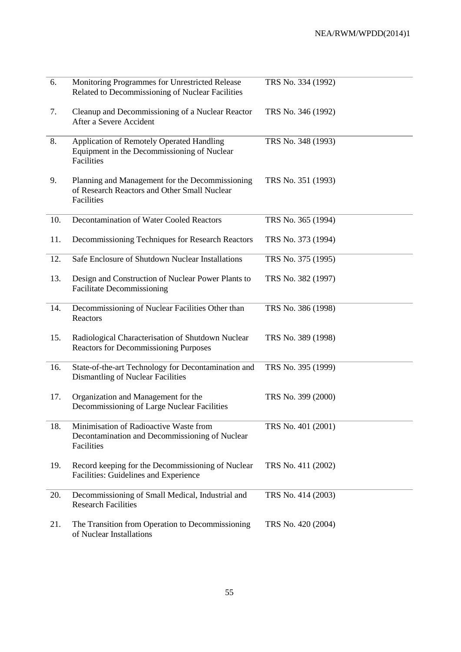| 6.  | Monitoring Programmes for Unrestricted Release<br>Related to Decommissioning of Nuclear Facilities            | TRS No. 334 (1992) |
|-----|---------------------------------------------------------------------------------------------------------------|--------------------|
| 7.  | Cleanup and Decommissioning of a Nuclear Reactor<br>After a Severe Accident                                   | TRS No. 346 (1992) |
| 8.  | <b>Application of Remotely Operated Handling</b><br>Equipment in the Decommissioning of Nuclear<br>Facilities | TRS No. 348 (1993) |
| 9.  | Planning and Management for the Decommissioning<br>of Research Reactors and Other Small Nuclear<br>Facilities | TRS No. 351 (1993) |
| 10. | Decontamination of Water Cooled Reactors                                                                      | TRS No. 365 (1994) |
| 11. | Decommissioning Techniques for Research Reactors                                                              | TRS No. 373 (1994) |
| 12. | Safe Enclosure of Shutdown Nuclear Installations                                                              | TRS No. 375 (1995) |
| 13. | Design and Construction of Nuclear Power Plants to<br><b>Facilitate Decommissioning</b>                       | TRS No. 382 (1997) |
| 14. | Decommissioning of Nuclear Facilities Other than<br>Reactors                                                  | TRS No. 386 (1998) |
| 15. | Radiological Characterisation of Shutdown Nuclear<br><b>Reactors for Decommissioning Purposes</b>             | TRS No. 389 (1998) |
| 16. | State-of-the-art Technology for Decontamination and<br>Dismantling of Nuclear Facilities                      | TRS No. 395 (1999) |
| 17. | Organization and Management for the<br>Decommissioning of Large Nuclear Facilities                            | TRS No. 399 (2000) |
| 18. | Minimisation of Radioactive Waste from<br>Decontamination and Decommissioning of Nuclear<br>Facilities        | TRS No. 401 (2001) |
| 19. | Record keeping for the Decommissioning of Nuclear<br>Facilities: Guidelines and Experience                    | TRS No. 411 (2002) |
| 20. | Decommissioning of Small Medical, Industrial and<br><b>Research Facilities</b>                                | TRS No. 414 (2003) |
| 21. | The Transition from Operation to Decommissioning<br>of Nuclear Installations                                  | TRS No. 420 (2004) |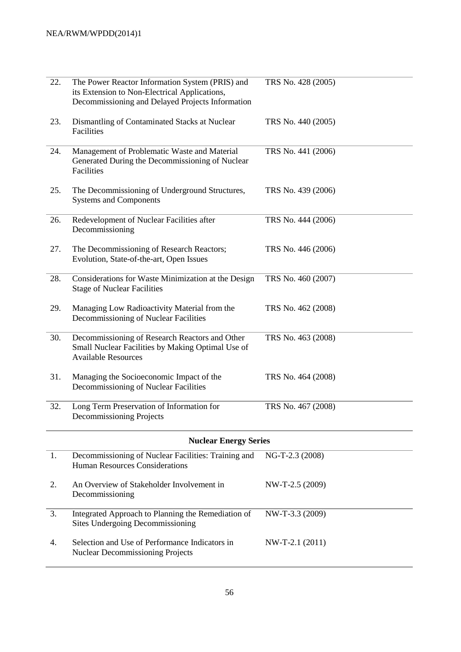| 22.                          | The Power Reactor Information System (PRIS) and<br>its Extension to Non-Electrical Applications,                                  | TRS No. 428 (2005) |
|------------------------------|-----------------------------------------------------------------------------------------------------------------------------------|--------------------|
|                              | Decommissioning and Delayed Projects Information                                                                                  |                    |
| 23.                          | Dismantling of Contaminated Stacks at Nuclear<br>Facilities                                                                       | TRS No. 440 (2005) |
| 24.                          | Management of Problematic Waste and Material<br>Generated During the Decommissioning of Nuclear<br>Facilities                     | TRS No. 441 (2006) |
| 25.                          | The Decommissioning of Underground Structures,<br><b>Systems and Components</b>                                                   | TRS No. 439 (2006) |
| 26.                          | Redevelopment of Nuclear Facilities after<br>Decommissioning                                                                      | TRS No. 444 (2006) |
| 27.                          | The Decommissioning of Research Reactors;<br>Evolution, State-of-the-art, Open Issues                                             | TRS No. 446 (2006) |
| 28.                          | Considerations for Waste Minimization at the Design<br><b>Stage of Nuclear Facilities</b>                                         | TRS No. 460 (2007) |
| 29.                          | Managing Low Radioactivity Material from the<br>Decommissioning of Nuclear Facilities                                             | TRS No. 462 (2008) |
| 30.                          | Decommissioning of Research Reactors and Other<br>Small Nuclear Facilities by Making Optimal Use of<br><b>Available Resources</b> | TRS No. 463 (2008) |
| 31.                          | Managing the Socioeconomic Impact of the<br>Decommissioning of Nuclear Facilities                                                 | TRS No. 464 (2008) |
| 32.                          | Long Term Preservation of Information for<br>Decommissioning Projects                                                             | TRS No. 467 (2008) |
| <b>Nuclear Energy Series</b> |                                                                                                                                   |                    |
| 1.                           | Decommissioning of Nuclear Facilities: Training and<br><b>Human Resources Considerations</b>                                      | NG-T-2.3 (2008)    |
| 2.                           | An Overview of Stakeholder Involvement in<br>Decommissioning                                                                      | NW-T-2.5 (2009)    |
| 3.                           | Integrated Approach to Planning the Remediation of<br><b>Sites Undergoing Decommissioning</b>                                     | NW-T-3.3 (2009)    |
| 4.                           | Selection and Use of Performance Indicators in<br><b>Nuclear Decommissioning Projects</b>                                         | NW-T-2.1 (2011)    |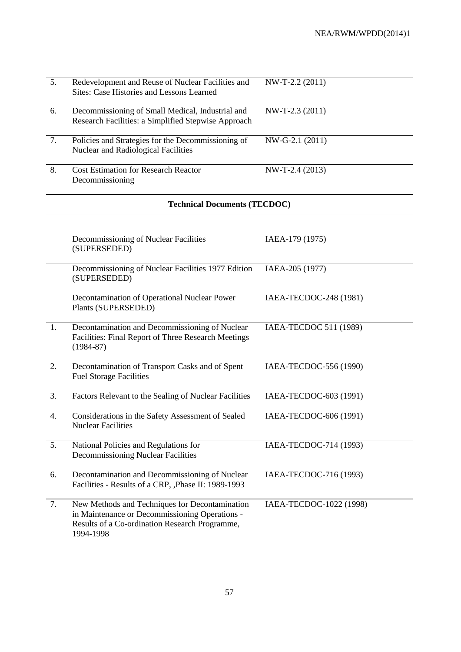| 5. | Redevelopment and Reuse of Nuclear Facilities and<br>Sites: Case Histories and Lessons Learned                                                                  | NW-T-2.2 (2011)         |
|----|-----------------------------------------------------------------------------------------------------------------------------------------------------------------|-------------------------|
| 6. | Decommissioning of Small Medical, Industrial and<br>Research Facilities: a Simplified Stepwise Approach                                                         | NW-T-2.3 (2011)         |
| 7. | Policies and Strategies for the Decommissioning of<br>Nuclear and Radiological Facilities                                                                       | NW-G-2.1 (2011)         |
| 8. | <b>Cost Estimation for Research Reactor</b><br>Decommissioning                                                                                                  | NW-T-2.4 (2013)         |
|    | <b>Technical Documents (TECDOC)</b>                                                                                                                             |                         |
|    | Decommissioning of Nuclear Facilities<br>(SUPERSEDED)                                                                                                           | IAEA-179 (1975)         |
|    | Decommissioning of Nuclear Facilities 1977 Edition<br>(SUPERSEDED)                                                                                              | IAEA-205 (1977)         |
|    | Decontamination of Operational Nuclear Power<br>Plants (SUPERSEDED)                                                                                             | IAEA-TECDOC-248 (1981)  |
| 1. | Decontamination and Decommissioning of Nuclear<br>Facilities: Final Report of Three Research Meetings<br>$(1984 - 87)$                                          | IAEA-TECDOC 511 (1989)  |
| 2. | Decontamination of Transport Casks and of Spent<br><b>Fuel Storage Facilities</b>                                                                               | IAEA-TECDOC-556 (1990)  |
| 3. | Factors Relevant to the Sealing of Nuclear Facilities                                                                                                           | IAEA-TECDOC-603 (1991)  |
| 4. | Considerations in the Safety Assessment of Sealed<br><b>Nuclear Facilities</b>                                                                                  | IAEA-TECDOC-606 (1991)  |
| 5. | National Policies and Regulations for<br>Decommissioning Nuclear Facilities                                                                                     | IAEA-TECDOC-714 (1993)  |
| 6. | Decontamination and Decommissioning of Nuclear<br>Facilities - Results of a CRP, , Phase II: 1989-1993                                                          | IAEA-TECDOC-716 (1993)  |
| 7. | New Methods and Techniques for Decontamination<br>in Maintenance or Decommissioning Operations -<br>Results of a Co-ordination Research Programme,<br>1994-1998 | IAEA-TECDOC-1022 (1998) |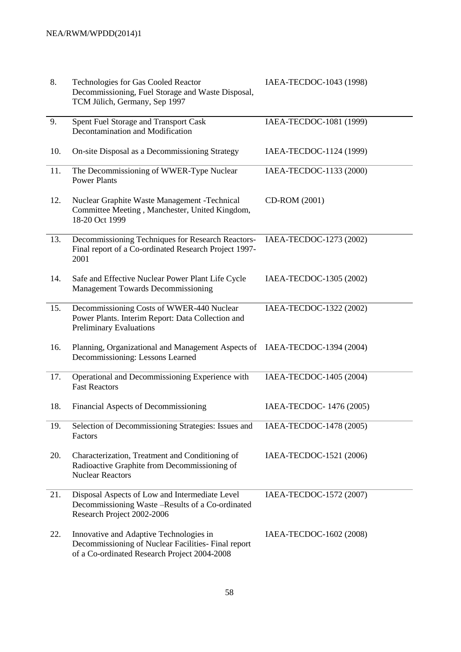| 8.  | <b>Technologies for Gas Cooled Reactor</b><br>Decommissioning, Fuel Storage and Waste Disposal,<br>TCM Jülich, Germany, Sep 1997               | IAEA-TECDOC-1043 (1998) |
|-----|------------------------------------------------------------------------------------------------------------------------------------------------|-------------------------|
| 9.  | Spent Fuel Storage and Transport Cask<br>Decontamination and Modification                                                                      | IAEA-TECDOC-1081 (1999) |
| 10. | On-site Disposal as a Decommissioning Strategy                                                                                                 | IAEA-TECDOC-1124 (1999) |
| 11. | The Decommissioning of WWER-Type Nuclear<br><b>Power Plants</b>                                                                                | IAEA-TECDOC-1133 (2000) |
| 12. | Nuclear Graphite Waste Management - Technical<br>Committee Meeting, Manchester, United Kingdom,<br>18-20 Oct 1999                              | CD-ROM (2001)           |
| 13. | Decommissioning Techniques for Research Reactors-<br>Final report of a Co-ordinated Research Project 1997-<br>2001                             | IAEA-TECDOC-1273 (2002) |
| 14. | Safe and Effective Nuclear Power Plant Life Cycle<br><b>Management Towards Decommissioning</b>                                                 | IAEA-TECDOC-1305 (2002) |
| 15. | Decommissioning Costs of WWER-440 Nuclear<br>Power Plants. Interim Report: Data Collection and<br><b>Preliminary Evaluations</b>               | IAEA-TECDOC-1322 (2002) |
| 16. | Planning, Organizational and Management Aspects of IAEA-TECDOC-1394 (2004)<br>Decommissioning: Lessons Learned                                 |                         |
| 17. | Operational and Decommissioning Experience with<br><b>Fast Reactors</b>                                                                        | IAEA-TECDOC-1405 (2004) |
| 18. | Financial Aspects of Decommissioning                                                                                                           | IAEA-TECDOC-1476 (2005) |
| 19. | Selection of Decommissioning Strategies: Issues and<br>Factors                                                                                 | IAEA-TECDOC-1478 (2005) |
| 20. | Characterization, Treatment and Conditioning of<br>Radioactive Graphite from Decommissioning of<br><b>Nuclear Reactors</b>                     | IAEA-TECDOC-1521 (2006) |
| 21. | Disposal Aspects of Low and Intermediate Level<br>Decommissioning Waste -Results of a Co-ordinated<br>Research Project 2002-2006               | IAEA-TECDOC-1572 (2007) |
| 22. | Innovative and Adaptive Technologies in<br>Decommissioning of Nuclear Facilities- Final report<br>of a Co-ordinated Research Project 2004-2008 | IAEA-TECDOC-1602 (2008) |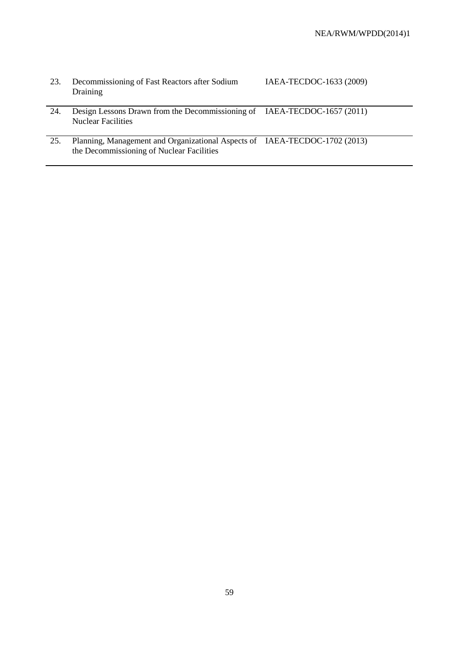- 23. Decommissioning of Fast Reactors after Sodium Draining
	- IAEA-TECDOC-1633 (2009)
- 24. Design Lessons Drawn from the Decommissioning of Nuclear Facilities IAEA-TECDOC-1657 (2011)
- 25. Planning, Management and Organizational Aspects of IAEA-TECDOC-1702 (2013)the Decommissioning of Nuclear Facilities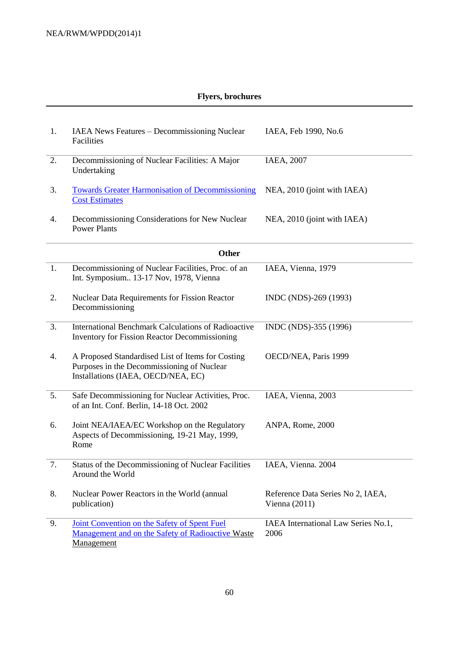# **Flyers, brochures**

| 1. | IAEA News Features - Decommissioning Nuclear<br>Facilities                                                                            | IAEA, Feb 1990, No.6                                 |  |
|----|---------------------------------------------------------------------------------------------------------------------------------------|------------------------------------------------------|--|
| 2. | Decommissioning of Nuclear Facilities: A Major<br>Undertaking                                                                         | IAEA, 2007                                           |  |
| 3. | <b>Towards Greater Harmonisation of Decommissioning</b><br><b>Cost Estimates</b>                                                      | NEA, 2010 (joint with IAEA)                          |  |
| 4. | Decommissioning Considerations for New Nuclear<br><b>Power Plants</b>                                                                 | NEA, 2010 (joint with IAEA)                          |  |
|    | Other                                                                                                                                 |                                                      |  |
| 1. | Decommissioning of Nuclear Facilities, Proc. of an<br>Int. Symposium 13-17 Nov, 1978, Vienna                                          | IAEA, Vienna, 1979                                   |  |
| 2. | Nuclear Data Requirements for Fission Reactor<br>Decommissioning                                                                      | INDC (NDS)-269 (1993)                                |  |
| 3. | <b>International Benchmark Calculations of Radioactive</b><br><b>Inventory for Fission Reactor Decommissioning</b>                    | INDC (NDS)-355 (1996)                                |  |
| 4. | A Proposed Standardised List of Items for Costing<br>Purposes in the Decommissioning of Nuclear<br>Installations (IAEA, OECD/NEA, EC) | OECD/NEA, Paris 1999                                 |  |
| 5. | Safe Decommissioning for Nuclear Activities, Proc.<br>of an Int. Conf. Berlin, 14-18 Oct. 2002                                        | IAEA, Vienna, 2003                                   |  |
| 6. | Joint NEA/IAEA/EC Workshop on the Regulatory<br>Aspects of Decommissioning, 19-21 May, 1999,<br>Rome                                  | ANPA, Rome, 2000                                     |  |
| 7. | Status of the Decommissioning of Nuclear Facilities<br>Around the World                                                               | IAEA, Vienna. 2004                                   |  |
| 8. | Nuclear Power Reactors in the World (annual<br>publication)                                                                           | Reference Data Series No 2, IAEA,<br>Vienna $(2011)$ |  |
| 9. | Joint Convention on the Safety of Spent Fuel<br>Management and on the Safety of Radioactive Waste<br>Management                       | IAEA International Law Series No.1,<br>2006          |  |